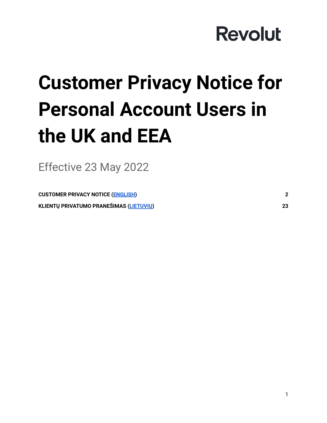# **Customer Privacy Notice for Personal Account Users in the UK and EEA**

Effective 23 May 2022

<span id="page-0-0"></span>**[CUSTOMER](#page-1-0) PRIVACY NOTICE (ENGLISH) [2](#page-1-0) KLIENTŲ PRIVATUMO [PRANEŠIMAS](#page-22-0) (LIETUVIŲ) [23](#page-22-0)**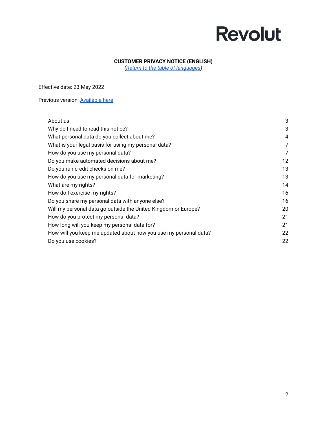#### **CUSTOMER PRIVACY NOTICE (ENGLISH)**

*(Return to the table of [languages](#page-0-0))*

<span id="page-1-0"></span>Effective date: 23 May 2022

Previous version: **[Available](https://assets.revolut.com/Privacy/UK-and-EEA-Customer-Privacy-Policy-July-2020-EN.pdf) here** 

| About us                                                         | 3  |
|------------------------------------------------------------------|----|
| Why do I need to read this notice?                               | 3  |
| What personal data do you collect about me?                      | 4  |
| What is your legal basis for using my personal data?             | 7  |
| How do you use my personal data?                                 | 7  |
| Do you make automated decisions about me?                        | 12 |
| Do you run credit checks on me?                                  | 13 |
| How do you use my personal data for marketing?                   | 13 |
| What are my rights?                                              | 14 |
| How do I exercise my rights?                                     | 16 |
| Do you share my personal data with anyone else?                  | 16 |
| Will my personal data go outside the United Kingdom or Europe?   | 20 |
| How do you protect my personal data?                             | 21 |
| How long will you keep my personal data for?                     | 21 |
| How will you keep me updated about how you use my personal data? | 22 |
| Do you use cookies?                                              | 22 |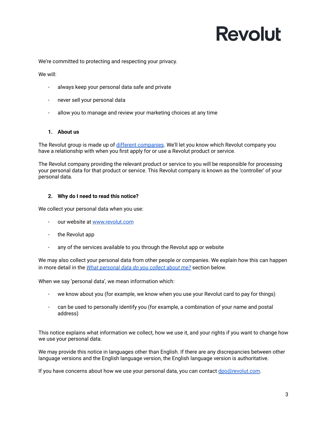We're committed to protecting and respecting your privacy.

We will:

- always keep your personal data safe and private
- never sell your personal data
- allow you to manage and review your marketing choices at any time

#### <span id="page-2-0"></span>**1. About us**

The Revolut group is made up of different [companies](https://www.revolut.com/help/more/legal-topics/which-revolut-companies-provide-me-with-services). We'll let you know which Revolut company you have a relationship with when you first apply for or use a Revolut product or service.

The Revolut company providing the relevant product or service to you will be responsible for processing your personal data for that product or service. This Revolut company is known as the 'controller' of your personal data.

#### <span id="page-2-1"></span>**2. Why do I need to read this notice?**

We collect your personal data when you use:

- our website at [www.revolut.com](https://www.revolut.com)
- the Revolut app
- any of the services available to you through the Revolut app or website

We may also collect your personal data from other people or companies. We explain how this can happen in more detail in the *What [personal](#page-3-0) data do you collect about me?* section below.

When we say 'personal data', we mean information which:

- we know about you (for example, we know when you use your Revolut card to pay for things)
- can be used to personally identify you (for example, a combination of your name and postal address)

This notice explains what information we collect, how we use it, and your rights if you want to change how we use your personal data.

We may provide this notice in languages other than English. If there are any discrepancies between other language versions and the English language version, the English language version is authoritative.

If you have concerns about how we use your personal data, you can contact [dpo@revolut.com](mailto:dpo@revolut.com).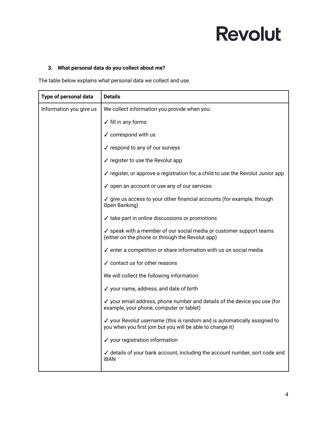#### <span id="page-3-0"></span>**3. What personal data do you collect about me?**

The table below explains what personal data we collect and use.

| Type of personal data   | <b>Details</b>                                                                                                                         |
|-------------------------|----------------------------------------------------------------------------------------------------------------------------------------|
| Information you give us | We collect information you provide when you:                                                                                           |
|                         | $\checkmark$ fill in any forms                                                                                                         |
|                         | $\checkmark$ correspond with us                                                                                                        |
|                         | ✓ respond to any of our surveys                                                                                                        |
|                         | $\checkmark$ register to use the Revolut app                                                                                           |
|                         | √ register, or approve a registration for, a child to use the Revolut Junior app                                                       |
|                         | ✓ open an account or use any of our services                                                                                           |
|                         | √ give us access to your other financial accounts (for example, through<br>Open Banking)                                               |
|                         | ✓ take part in online discussions or promotions                                                                                        |
|                         | ✓ speak with a member of our social media or customer support teams<br>(either on the phone or through the Revolut app)                |
|                         | $\checkmark$ enter a competition or share information with us on social media                                                          |
|                         | $\checkmark$ contact us for other reasons                                                                                              |
|                         | We will collect the following information:                                                                                             |
|                         | ✔ your name, address, and date of birth                                                                                                |
|                         | √ your email address, phone number and details of the device you use (for<br>example, your phone, computer or tablet)                  |
|                         | ✓ your Revolut username (this is random and is automatically assigned to<br>you when you first join but you will be able to change it) |
|                         | √ your registration information                                                                                                        |
|                         | ✓ details of your bank account, including the account number, sort code and<br><b>IBAN</b>                                             |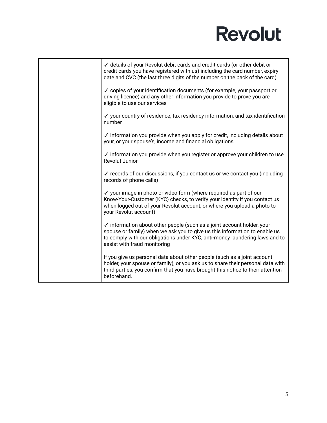| ✓ details of your Revolut debit cards and credit cards (or other debit or<br>credit cards you have registered with us) including the card number, expiry<br>date and CVC (the last three digits of the number on the back of the card)                              |
|---------------------------------------------------------------------------------------------------------------------------------------------------------------------------------------------------------------------------------------------------------------------|
| ✓ copies of your identification documents (for example, your passport or<br>driving licence) and any other information you provide to prove you are<br>eligible to use our services                                                                                 |
| $\checkmark$ your country of residence, tax residency information, and tax identification<br>number                                                                                                                                                                 |
| $\checkmark$ information you provide when you apply for credit, including details about<br>your, or your spouse's, income and financial obligations                                                                                                                 |
| $\checkmark$ information you provide when you register or approve your children to use<br>Revolut Junior                                                                                                                                                            |
| ✓ records of our discussions, if you contact us or we contact you (including<br>records of phone calls)                                                                                                                                                             |
| ✓ your image in photo or video form (where required as part of our<br>Know-Your-Customer (KYC) checks, to verify your identity if you contact us<br>when logged out of your Revolut account, or where you upload a photo to<br>your Revolut account)                |
| ✓ information about other people (such as a joint account holder, your<br>spouse or family) when we ask you to give us this information to enable us<br>to comply with our obligations under KYC, anti-money laundering laws and to<br>assist with fraud monitoring |
| If you give us personal data about other people (such as a joint account<br>holder, your spouse or family), or you ask us to share their personal data with<br>third parties, you confirm that you have brought this notice to their attention<br>beforehand.       |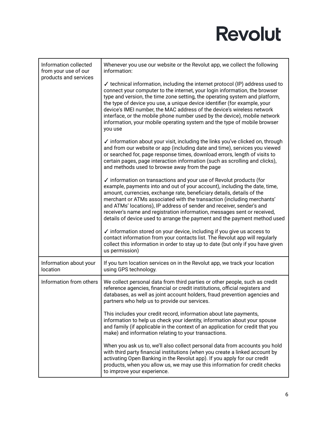| Information collected<br>from your use of our<br>products and services | Whenever you use our website or the Revolut app, we collect the following<br>information:                                                                                                                                                                                                                                                                                                                                                                                                                                                                                        |
|------------------------------------------------------------------------|----------------------------------------------------------------------------------------------------------------------------------------------------------------------------------------------------------------------------------------------------------------------------------------------------------------------------------------------------------------------------------------------------------------------------------------------------------------------------------------------------------------------------------------------------------------------------------|
|                                                                        | $\checkmark$ technical information, including the internet protocol (IP) address used to<br>connect your computer to the internet, your login information, the browser<br>type and version, the time zone setting, the operating system and platform,<br>the type of device you use, a unique device identifier (for example, your<br>device's IMEI number, the MAC address of the device's wireless network<br>interface, or the mobile phone number used by the device), mobile network<br>information, your mobile operating system and the type of mobile browser<br>you use |
|                                                                        | ✓ information about your visit, including the links you've clicked on, through<br>and from our website or app (including date and time), services you viewed<br>or searched for, page response times, download errors, length of visits to<br>certain pages, page interaction information (such as scrolling and clicks),<br>and methods used to browse away from the page                                                                                                                                                                                                       |
|                                                                        | $\checkmark$ information on transactions and your use of Revolut products (for<br>example, payments into and out of your account), including the date, time,<br>amount, currencies, exchange rate, beneficiary details, details of the<br>merchant or ATMs associated with the transaction (including merchants'<br>and ATMs' locations), IP address of sender and receiver, sender's and<br>receiver's name and registration information, messages sent or received,<br>details of device used to arrange the payment and the payment method used                               |
|                                                                        | ✓ information stored on your device, including if you give us access to<br>contact information from your contacts list. The Revolut app will regularly<br>collect this information in order to stay up to date (but only if you have given<br>us permission)                                                                                                                                                                                                                                                                                                                     |
| Information about your<br>location                                     | If you turn location services on in the Revolut app, we track your location<br>using GPS technology.                                                                                                                                                                                                                                                                                                                                                                                                                                                                             |
| Information from others                                                | We collect personal data from third parties or other people, such as credit<br>reference agencies, financial or credit institutions, official registers and<br>databases, as well as joint account holders, fraud prevention agencies and<br>partners who help us to provide our services.                                                                                                                                                                                                                                                                                       |
|                                                                        | This includes your credit record, information about late payments,<br>information to help us check your identity, information about your spouse<br>and family (if applicable in the context of an application for credit that you<br>make) and information relating to your transactions.                                                                                                                                                                                                                                                                                        |
|                                                                        | When you ask us to, we'll also collect personal data from accounts you hold<br>with third party financial institutions (when you create a linked account by<br>activating Open Banking in the Revolut app). If you apply for our credit<br>products, when you allow us, we may use this information for credit checks<br>to improve your experience.                                                                                                                                                                                                                             |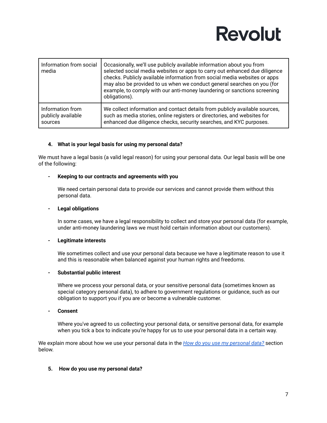| Information from social<br>media | Occasionally, we'll use publicly available information about you from<br>selected social media websites or apps to carry out enhanced due diligence<br>checks. Publicly available information from social media websites or apps<br>may also be provided to us when we conduct general searches on you (for<br>example, to comply with our anti-money laundering or sanctions screening<br>obligations). |
|----------------------------------|----------------------------------------------------------------------------------------------------------------------------------------------------------------------------------------------------------------------------------------------------------------------------------------------------------------------------------------------------------------------------------------------------------|
| Information from                 | We collect information and contact details from publicly available sources,                                                                                                                                                                                                                                                                                                                              |
| publicly available               | such as media stories, online registers or directories, and websites for                                                                                                                                                                                                                                                                                                                                 |
| sources                          | enhanced due diligence checks, security searches, and KYC purposes.                                                                                                                                                                                                                                                                                                                                      |

#### <span id="page-6-0"></span>**4. What is your legal basis for using my personal data?**

We must have a legal basis (a valid legal reason) for using your personal data. Our legal basis will be one of the following:

#### **- Keeping to our contracts and agreements with you**

We need certain personal data to provide our services and cannot provide them without this personal data.

#### **- Legal obligations**

In some cases, we have a legal responsibility to collect and store your personal data (for example, under anti-money laundering laws we must hold certain information about our customers).

#### **- Legitimate interests**

We sometimes collect and use your personal data because we have a legitimate reason to use it and this is reasonable when balanced against your human rights and freedoms.

#### **- Substantial public interest**

Where we process your personal data, or your sensitive personal data (sometimes known as special category personal data), to adhere to government regulations or guidance, such as our obligation to support you if you are or become a vulnerable customer.

**- Consent**

Where you've agreed to us collecting your personal data, or sensitive personal data, for example when you tick a box to indicate you're happy for us to use your personal data in a certain way.

We explain more about how we use your personal data in the *How do you use my [personal](#page-6-1) data?* section below.

#### <span id="page-6-1"></span>**5. How do you use my personal data?**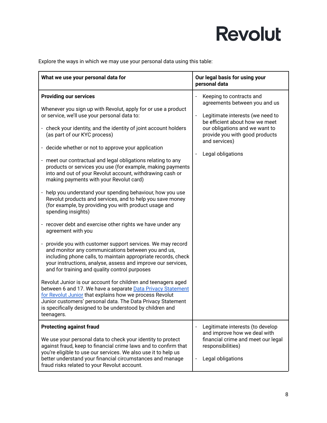Explore the ways in which we may use your personal data using this table:

| What we use your personal data for                                                                                                                                                                                                                                                                                                                                                                                                                                                                                                                                                                                                                                                                                                                                                                                                                                                                                                                                                                                                                                                                                                                                                                                                                                                                                                                                                                                                                                                                    | Our legal basis for using your<br>personal data                                                                                                                                                                                                                           |
|-------------------------------------------------------------------------------------------------------------------------------------------------------------------------------------------------------------------------------------------------------------------------------------------------------------------------------------------------------------------------------------------------------------------------------------------------------------------------------------------------------------------------------------------------------------------------------------------------------------------------------------------------------------------------------------------------------------------------------------------------------------------------------------------------------------------------------------------------------------------------------------------------------------------------------------------------------------------------------------------------------------------------------------------------------------------------------------------------------------------------------------------------------------------------------------------------------------------------------------------------------------------------------------------------------------------------------------------------------------------------------------------------------------------------------------------------------------------------------------------------------|---------------------------------------------------------------------------------------------------------------------------------------------------------------------------------------------------------------------------------------------------------------------------|
| <b>Providing our services</b><br>Whenever you sign up with Revolut, apply for or use a product<br>or service, we'll use your personal data to:<br>- check your identity, and the identity of joint account holders<br>(as part of our KYC process)<br>- decide whether or not to approve your application<br>meet our contractual and legal obligations relating to any<br>$\blacksquare$<br>products or services you use (for example, making payments<br>into and out of your Revolut account, withdrawing cash or<br>making payments with your Revolut card)<br>help you understand your spending behaviour, how you use<br>Revolut products and services, and to help you save money<br>(for example, by providing you with product usage and<br>spending insights)<br>- recover debt and exercise other rights we have under any<br>agreement with you<br>provide you with customer support services. We may record<br>and monitor any communications between you and us,<br>including phone calls, to maintain appropriate records, check<br>your instructions, analyse, assess and improve our services,<br>and for training and quality control purposes<br>Revolut Junior is our account for children and teenagers aged<br>between 6 and 17. We have a separate Data Privacy Statement<br>for Revolut Junior that explains how we process Revolut<br>Junior customers' personal data. The Data Privacy Statement<br>is specifically designed to be understood by children and<br>teenagers. | Keeping to contracts and<br>agreements between you and us<br>Legitimate interests (we need to<br>$\qquad \qquad \blacksquare$<br>be efficient about how we meet<br>our obligations and we want to<br>provide you with good products<br>and services)<br>Legal obligations |
| <b>Protecting against fraud</b><br>We use your personal data to check your identity to protect<br>against fraud, keep to financial crime laws and to confirm that<br>you're eligible to use our services. We also use it to help us<br>better understand your financial circumstances and manage<br>fraud risks related to your Revolut account.                                                                                                                                                                                                                                                                                                                                                                                                                                                                                                                                                                                                                                                                                                                                                                                                                                                                                                                                                                                                                                                                                                                                                      | Legitimate interests (to develop<br>and improve how we deal with<br>financial crime and meet our legal<br>responsibilities)<br>Legal obligations<br>$\qquad \qquad \blacksquare$                                                                                          |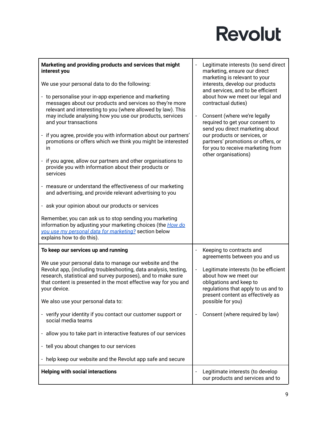| Marketing and providing products and services that might<br>interest you                                                                                                                                                                                                                                                                                                                                                                                                                                                                                                                                                                                                                                                                                                                                                                                                                                                                           | Legitimate interests (to send direct<br>marketing, ensure our direct<br>marketing is relevant to your                                                                                                                                                                                           |
|----------------------------------------------------------------------------------------------------------------------------------------------------------------------------------------------------------------------------------------------------------------------------------------------------------------------------------------------------------------------------------------------------------------------------------------------------------------------------------------------------------------------------------------------------------------------------------------------------------------------------------------------------------------------------------------------------------------------------------------------------------------------------------------------------------------------------------------------------------------------------------------------------------------------------------------------------|-------------------------------------------------------------------------------------------------------------------------------------------------------------------------------------------------------------------------------------------------------------------------------------------------|
| We use your personal data to do the following:                                                                                                                                                                                                                                                                                                                                                                                                                                                                                                                                                                                                                                                                                                                                                                                                                                                                                                     | interests, develop our products<br>and services, and to be efficient                                                                                                                                                                                                                            |
| - to personalise your in-app experience and marketing<br>messages about our products and services so they're more<br>relevant and interesting to you (where allowed by law). This<br>may include analysing how you use our products, services<br>and your transactions<br>- if you agree, provide you with information about our partners'<br>promotions or offers which we think you might be interested<br>in<br>- if you agree, allow our partners and other organisations to<br>provide you with information about their products or<br>services<br>- measure or understand the effectiveness of our marketing<br>and advertising, and provide relevant advertising to you<br>- ask your opinion about our products or services<br>Remember, you can ask us to stop sending you marketing<br>information by adjusting your marketing choices (the How do<br>you use my personal data for marketing? section below<br>explains how to do this). | about how we meet our legal and<br>contractual duties)<br>Consent (where we're legally<br>required to get your consent to<br>send you direct marketing about<br>our products or services, or<br>partners' promotions or offers, or<br>for you to receive marketing from<br>other organisations) |
| To keep our services up and running                                                                                                                                                                                                                                                                                                                                                                                                                                                                                                                                                                                                                                                                                                                                                                                                                                                                                                                | Keeping to contracts and<br>agreements between you and us                                                                                                                                                                                                                                       |
| We use your personal data to manage our website and the<br>Revolut app, (including troubleshooting, data analysis, testing,<br>research, statistical and survey purposes), and to make sure<br>that content is presented in the most effective way for you and<br>your device.<br>We also use your personal data to:                                                                                                                                                                                                                                                                                                                                                                                                                                                                                                                                                                                                                               | Legitimate interests (to be efficient<br>about how we meet our<br>obligations and keep to<br>regulations that apply to us and to<br>present content as effectively as<br>possible for you)                                                                                                      |
| - verify your identity if you contact our customer support or<br>social media teams                                                                                                                                                                                                                                                                                                                                                                                                                                                                                                                                                                                                                                                                                                                                                                                                                                                                | Consent (where required by law)                                                                                                                                                                                                                                                                 |
| - allow you to take part in interactive features of our services                                                                                                                                                                                                                                                                                                                                                                                                                                                                                                                                                                                                                                                                                                                                                                                                                                                                                   |                                                                                                                                                                                                                                                                                                 |
| - tell you about changes to our services                                                                                                                                                                                                                                                                                                                                                                                                                                                                                                                                                                                                                                                                                                                                                                                                                                                                                                           |                                                                                                                                                                                                                                                                                                 |
| - help keep our website and the Revolut app safe and secure                                                                                                                                                                                                                                                                                                                                                                                                                                                                                                                                                                                                                                                                                                                                                                                                                                                                                        |                                                                                                                                                                                                                                                                                                 |
| <b>Helping with social interactions</b>                                                                                                                                                                                                                                                                                                                                                                                                                                                                                                                                                                                                                                                                                                                                                                                                                                                                                                            | Legitimate interests (to develop<br>our products and services and to                                                                                                                                                                                                                            |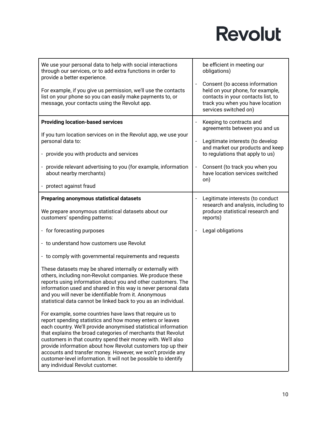| We use your personal data to help with social interactions<br>through our services, or to add extra functions in order to<br>provide a better experience.                                                                                                                                                                                                                                                                                                                                                                                                    | be efficient in meeting our<br>obligations)                                                                                                                           |
|--------------------------------------------------------------------------------------------------------------------------------------------------------------------------------------------------------------------------------------------------------------------------------------------------------------------------------------------------------------------------------------------------------------------------------------------------------------------------------------------------------------------------------------------------------------|-----------------------------------------------------------------------------------------------------------------------------------------------------------------------|
| For example, if you give us permission, we'll use the contacts<br>list on your phone so you can easily make payments to, or<br>message, your contacts using the Revolut app.                                                                                                                                                                                                                                                                                                                                                                                 | Consent (to access information<br>held on your phone, for example,<br>contacts in your contacts list, to<br>track you when you have location<br>services switched on) |
| <b>Providing location-based services</b>                                                                                                                                                                                                                                                                                                                                                                                                                                                                                                                     | Keeping to contracts and<br>agreements between you and us                                                                                                             |
| If you turn location services on in the Revolut app, we use your<br>personal data to:                                                                                                                                                                                                                                                                                                                                                                                                                                                                        | Legitimate interests (to develop<br>and market our products and keep                                                                                                  |
| - provide you with products and services                                                                                                                                                                                                                                                                                                                                                                                                                                                                                                                     | to regulations that apply to us)                                                                                                                                      |
| - provide relevant advertising to you (for example, information<br>about nearby merchants)                                                                                                                                                                                                                                                                                                                                                                                                                                                                   | Consent (to track you when you<br>have location services switched<br>on)                                                                                              |
| - protect against fraud                                                                                                                                                                                                                                                                                                                                                                                                                                                                                                                                      |                                                                                                                                                                       |
| <b>Preparing anonymous statistical datasets</b>                                                                                                                                                                                                                                                                                                                                                                                                                                                                                                              | Legitimate interests (to conduct<br>research and analysis, including to                                                                                               |
| We prepare anonymous statistical datasets about our<br>customers' spending patterns:                                                                                                                                                                                                                                                                                                                                                                                                                                                                         | produce statistical research and<br>reports)                                                                                                                          |
| - for forecasting purposes                                                                                                                                                                                                                                                                                                                                                                                                                                                                                                                                   | Legal obligations                                                                                                                                                     |
| - to understand how customers use Revolut                                                                                                                                                                                                                                                                                                                                                                                                                                                                                                                    |                                                                                                                                                                       |
| - to comply with governmental requirements and requests                                                                                                                                                                                                                                                                                                                                                                                                                                                                                                      |                                                                                                                                                                       |
| These datasets may be shared internally or externally with<br>others, including non-Revolut companies. We produce these<br>reports using information about you and other customers. The<br>information used and shared in this way is never personal data<br>and you will never be identifiable from it. Anonymous<br>statistical data cannot be linked back to you as an individual.                                                                                                                                                                        |                                                                                                                                                                       |
| For example, some countries have laws that require us to<br>report spending statistics and how money enters or leaves<br>each country. We'll provide anonymised statistical information<br>that explains the broad categories of merchants that Revolut<br>customers in that country spend their money with. We'll also<br>provide information about how Revolut customers top up their<br>accounts and transfer money. However, we won't provide any<br>customer-level information. It will not be possible to identify<br>any individual Revolut customer. |                                                                                                                                                                       |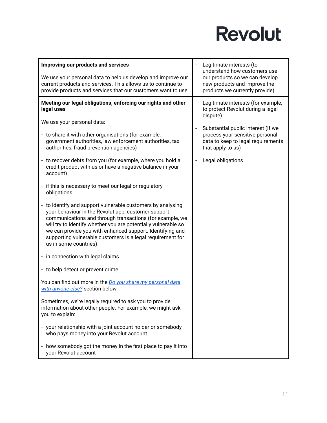| Improving our products and services                                                                                                                                                                                                                                                                                                                                                                  | Legitimate interests (to<br>understand how customers use                                         |
|------------------------------------------------------------------------------------------------------------------------------------------------------------------------------------------------------------------------------------------------------------------------------------------------------------------------------------------------------------------------------------------------------|--------------------------------------------------------------------------------------------------|
| We use your personal data to help us develop and improve our<br>current products and services. This allows us to continue to<br>provide products and services that our customers want to use.                                                                                                                                                                                                        | our products so we can develop<br>new products and improve the<br>products we currently provide) |
| Meeting our legal obligations, enforcing our rights and other<br>legal uses                                                                                                                                                                                                                                                                                                                          | Legitimate interests (for example,<br>to protect Revolut during a legal<br>dispute)              |
| We use your personal data:                                                                                                                                                                                                                                                                                                                                                                           | Substantial public interest (if we                                                               |
| - to share it with other organisations (for example,<br>government authorities, law enforcement authorities, tax<br>authorities, fraud prevention agencies)                                                                                                                                                                                                                                          | process your sensitive personal<br>data to keep to legal requirements<br>that apply to us)       |
| - to recover debts from you (for example, where you hold a<br>credit product with us or have a negative balance in your<br>account)                                                                                                                                                                                                                                                                  | Legal obligations                                                                                |
| - if this is necessary to meet our legal or regulatory<br>obligations                                                                                                                                                                                                                                                                                                                                |                                                                                                  |
| - to identify and support vulnerable customers by analysing<br>your behaviour in the Revolut app, customer support<br>communications and through transactions (for example, we<br>will try to identify whether you are potentially vulnerable so<br>we can provide you with enhanced support. Identifying and<br>supporting vulnerable customers is a legal requirement for<br>us in some countries) |                                                                                                  |
| - in connection with legal claims                                                                                                                                                                                                                                                                                                                                                                    |                                                                                                  |
| - to help detect or prevent crime                                                                                                                                                                                                                                                                                                                                                                    |                                                                                                  |
| You can find out more in the <i>Do you share my personal data</i><br>with anyone else? section below.                                                                                                                                                                                                                                                                                                |                                                                                                  |
| Sometimes, we're legally required to ask you to provide<br>information about other people. For example, we might ask<br>you to explain:                                                                                                                                                                                                                                                              |                                                                                                  |
| - your relationship with a joint account holder or somebody<br>who pays money into your Revolut account                                                                                                                                                                                                                                                                                              |                                                                                                  |
| - how somebody got the money in the first place to pay it into<br>your Revolut account                                                                                                                                                                                                                                                                                                               |                                                                                                  |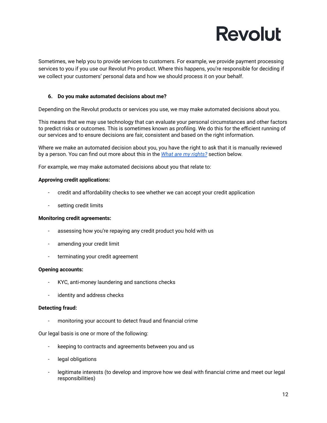Sometimes, we help you to provide services to customers. For example, we provide payment processing services to you if you use our Revolut Pro product. Where this happens, you're responsible for deciding if we collect your customers' personal data and how we should process it on your behalf.

#### <span id="page-11-0"></span>**6. Do you make automated decisions about me?**

Depending on the Revolut products or services you use, we may make automated decisions about you.

This means that we may use technology that can evaluate your personal circumstances and other factors to predict risks or outcomes. This is sometimes known as profiling. We do this for the efficient running of our services and to ensure decisions are fair, consistent and based on the right information.

Where we make an automated decision about you, you have the right to ask that it is manually reviewed by a person. You can find out more about this in the *What are my [rights?](#page-13-0)* section below.

For example, we may make automated decisions about you that relate to:

#### **Approving credit applications:**

- credit and affordability checks to see whether we can accept your credit application
- setting credit limits

#### **Monitoring credit agreements:**

- assessing how you're repaying any credit product you hold with us
- amending your credit limit
- terminating your credit agreement

#### **Opening accounts:**

- KYC, anti-money laundering and sanctions checks
- identity and address checks

#### **Detecting fraud:**

monitoring your account to detect fraud and financial crime

Our legal basis is one or more of the following:

- keeping to contracts and agreements between you and us
- legal obligations
- legitimate interests (to develop and improve how we deal with financial crime and meet our legal responsibilities)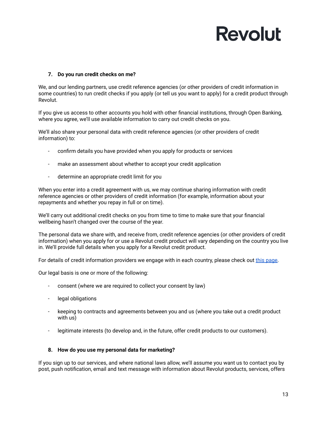#### <span id="page-12-0"></span>**7. Do you run credit checks on me?**

We, and our lending partners, use credit reference agencies (or other providers of credit information in some countries) to run credit checks if you apply (or tell us you want to apply) for a credit product through Revolut.

If you give us access to other accounts you hold with other financial institutions, through Open Banking, where you agree, we'll use available information to carry out credit checks on you.

We'll also share your personal data with credit reference agencies (or other providers of credit information) to:

- confirm details you have provided when you apply for products or services
- make an assessment about whether to accept your credit application
- determine an appropriate credit limit for you

When you enter into a credit agreement with us, we may continue sharing information with credit reference agencies or other providers of credit information (for example, information about your repayments and whether you repay in full or on time).

We'll carry out additional credit checks on you from time to time to make sure that your financial wellbeing hasn't changed over the course of the year.

The personal data we share with, and receive from, credit reference agencies (or other providers of credit information) when you apply for or use a Revolut credit product will vary depending on the country you live in. We'll provide full details when you apply for a Revolut credit product.

For details of credit information providers we engage with in each country, please check out this [page.](https://assets.revolut.com/Privacy/UK-and-EEA-additional-information-about-credit-information-providers-for-personal-account-customers.pdf)

Our legal basis is one or more of the following:

- consent (where we are required to collect your consent by law)
- legal obligations
- keeping to contracts and agreements between you and us (where you take out a credit product with us)
- legitimate interests (to develop and, in the future, offer credit products to our customers).

#### <span id="page-12-1"></span>**8. How do you use my personal data for marketing?**

If you sign up to our services, and where national laws allow, we'll assume you want us to contact you by post, push notification, email and text message with information about Revolut products, services, offers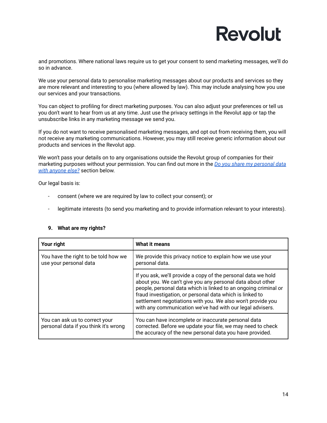and promotions. Where national laws require us to get your consent to send marketing messages, we'll do so in advance.

We use your personal data to personalise marketing messages about our products and services so they are more relevant and interesting to you (where allowed by law). This may include analysing how you use our services and your transactions.

You can object to profiling for direct marketing purposes. You can also adjust your preferences or tell us you don't want to hear from us at any time. Just use the privacy settings in the Revolut app or tap the unsubscribe links in any marketing message we send you.

If you do not want to receive personalised marketing messages, and opt out from receiving them, you will not receive any marketing communications. However, you may still receive generic information about our products and services in the Revolut app.

We won't pass your details on to any organisations outside the Revolut group of companies for their marketing purposes without your permission. You can find out more in the *Do you share my [personal](#page-15-1) data with [anyone](#page-15-1) else?* section below.

Our legal basis is:

- consent (where we are required by law to collect your consent); or
- legitimate interests (to send you marketing and to provide information relevant to your interests).

| Your right                                                              | What it means                                                                                                                                                                                                                                                                                                                                                                          |  |
|-------------------------------------------------------------------------|----------------------------------------------------------------------------------------------------------------------------------------------------------------------------------------------------------------------------------------------------------------------------------------------------------------------------------------------------------------------------------------|--|
| You have the right to be told how we<br>use your personal data          | We provide this privacy notice to explain how we use your<br>personal data.                                                                                                                                                                                                                                                                                                            |  |
|                                                                         | If you ask, we'll provide a copy of the personal data we hold<br>about you. We can't give you any personal data about other<br>people, personal data which is linked to an ongoing criminal or<br>fraud investigation, or personal data which is linked to<br>settlement negotiations with you. We also won't provide you<br>with any communication we've had with our legal advisers. |  |
| You can ask us to correct your<br>personal data if you think it's wrong | You can have incomplete or inaccurate personal data<br>corrected. Before we update your file, we may need to check<br>the accuracy of the new personal data you have provided.                                                                                                                                                                                                         |  |

#### <span id="page-13-0"></span>**9. What are my rights?**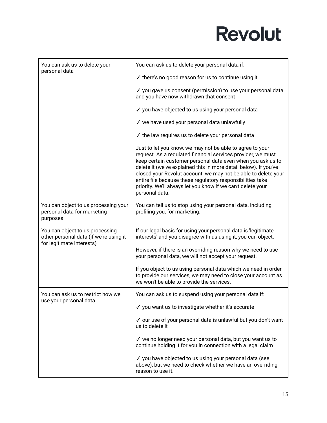| You can ask us to delete your<br>personal data                                                         | You can ask us to delete your personal data if:                                                                                                                                                                                                                                                                                                                                                                                                                               |
|--------------------------------------------------------------------------------------------------------|-------------------------------------------------------------------------------------------------------------------------------------------------------------------------------------------------------------------------------------------------------------------------------------------------------------------------------------------------------------------------------------------------------------------------------------------------------------------------------|
|                                                                                                        | $\checkmark$ there's no good reason for us to continue using it                                                                                                                                                                                                                                                                                                                                                                                                               |
|                                                                                                        | ✓ you gave us consent (permission) to use your personal data<br>and you have now withdrawn that consent                                                                                                                                                                                                                                                                                                                                                                       |
|                                                                                                        | ✓ you have objected to us using your personal data                                                                                                                                                                                                                                                                                                                                                                                                                            |
|                                                                                                        | √ we have used your personal data unlawfully                                                                                                                                                                                                                                                                                                                                                                                                                                  |
|                                                                                                        | $\checkmark$ the law requires us to delete your personal data                                                                                                                                                                                                                                                                                                                                                                                                                 |
|                                                                                                        | Just to let you know, we may not be able to agree to your<br>request. As a regulated financial services provider, we must<br>keep certain customer personal data even when you ask us to<br>delete it (we've explained this in more detail below). If you've<br>closed your Revolut account, we may not be able to delete your<br>entire file because these regulatory responsibilities take<br>priority. We'll always let you know if we can't delete your<br>personal data. |
| You can object to us processing your<br>personal data for marketing<br>purposes                        | You can tell us to stop using your personal data, including<br>profiling you, for marketing.                                                                                                                                                                                                                                                                                                                                                                                  |
| You can object to us processing<br>other personal data (if we're using it<br>for legitimate interests) | If our legal basis for using your personal data is 'legitimate<br>interests' and you disagree with us using it, you can object.                                                                                                                                                                                                                                                                                                                                               |
|                                                                                                        | However, if there is an overriding reason why we need to use<br>your personal data, we will not accept your request.                                                                                                                                                                                                                                                                                                                                                          |
|                                                                                                        | If you object to us using personal data which we need in order<br>to provide our services, we may need to close your account as<br>we won't be able to provide the services.                                                                                                                                                                                                                                                                                                  |
| You can ask us to restrict how we<br>use your personal data                                            | You can ask us to suspend using your personal data if:                                                                                                                                                                                                                                                                                                                                                                                                                        |
|                                                                                                        | √ you want us to investigate whether it's accurate                                                                                                                                                                                                                                                                                                                                                                                                                            |
|                                                                                                        | √ our use of your personal data is unlawful but you don't want<br>us to delete it                                                                                                                                                                                                                                                                                                                                                                                             |
|                                                                                                        | √ we no longer need your personal data, but you want us to<br>continue holding it for you in connection with a legal claim                                                                                                                                                                                                                                                                                                                                                    |
|                                                                                                        | ✓ you have objected to us using your personal data (see<br>above), but we need to check whether we have an overriding<br>reason to use it.                                                                                                                                                                                                                                                                                                                                    |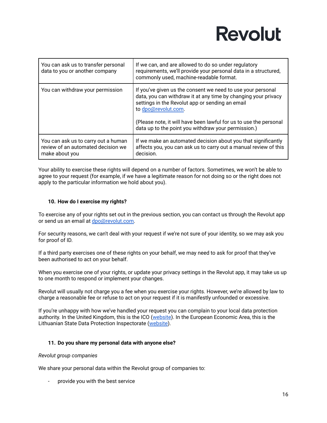| You can ask us to transfer personal<br>data to you or another company                       | If we can, and are allowed to do so under regulatory<br>requirements, we'll provide your personal data in a structured,<br>commonly used, machine-readable format.                                      |
|---------------------------------------------------------------------------------------------|---------------------------------------------------------------------------------------------------------------------------------------------------------------------------------------------------------|
| You can withdraw your permission                                                            | If you've given us the consent we need to use your personal<br>data, you can withdraw it at any time by changing your privacy<br>settings in the Revolut app or sending an email<br>to dpo@revolut.com. |
|                                                                                             | (Please note, it will have been lawful for us to use the personal<br>data up to the point you withdraw your permission.)                                                                                |
| You can ask us to carry out a human<br>review of an automated decision we<br>make about you | If we make an automated decision about you that significantly<br>affects you, you can ask us to carry out a manual review of this<br>decision.                                                          |

Your ability to exercise these rights will depend on a number of factors. Sometimes, we won't be able to agree to your request (for example, if we have a legitimate reason for not doing so or the right does not apply to the particular information we hold about you).

#### <span id="page-15-0"></span>**10. How do I exercise my rights?**

To exercise any of your rights set out in the previous section, you can contact us through the Revolut app or send us an email at [dpo@revolut.com.](mailto:dpo@revolut.com)

For security reasons, we can't deal with your request if we're not sure of your identity, so we may ask you for proof of ID.

If a third party exercises one of these rights on your behalf, we may need to ask for proof that they've been authorised to act on your behalf.

When you exercise one of your rights, or update your privacy settings in the Revolut app, it may take us up to one month to respond or implement your changes.

Revolut will usually not charge you a fee when you exercise your rights. However, we're allowed by law to charge a reasonable fee or refuse to act on your request if it is manifestly unfounded or excessive.

If you're unhappy with how we've handled your request you can complain to your local data protection authority. In the United Kingdom, this is the ICO ([website](https://ico.org.uk/make-a-complaint/)). In the European Economic Area, this is the Lithuanian State Data Protection Inspectorate ([website](https://vdai.lrv.lt/)).

#### <span id="page-15-1"></span>**11. Do you share my personal data with anyone else?**

#### *Revolut group companies*

We share your personal data within the Revolut group of companies to:

provide you with the best service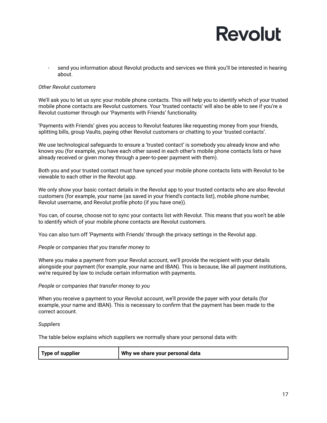send you information about Revolut products and services we think you'll be interested in hearing about.

#### *Other Revolut customers*

We'll ask you to let us sync your mobile phone contacts. This will help you to identify which of your trusted mobile phone contacts are Revolut customers. Your 'trusted contacts' will also be able to see if you're a Revolut customer through our 'Payments with Friends' functionality.

'Payments with Friends' gives you access to Revolut features like requesting money from your friends, splitting bills, group Vaults, paying other Revolut customers or chatting to your 'trusted contacts'.

We use technological safeguards to ensure a 'trusted contact' is somebody you already know and who knows you (for example, you have each other saved in each other's mobile phone contacts lists or have already received or given money through a peer-to-peer payment with them).

Both you and your trusted contact must have synced your mobile phone contacts lists with Revolut to be viewable to each other in the Revolut app.

We only show your basic contact details in the Revolut app to your trusted contacts who are also Revolut customers (for example, your name (as saved in your friend's contacts list), mobile phone number, Revolut username, and Revolut profile photo (if you have one)).

You can, of course, choose not to sync your contacts list with Revolut. This means that you won't be able to identify which of your mobile phone contacts are Revolut customers.

You can also turn off 'Payments with Friends' through the privacy settings in the Revolut app.

#### *People or companies that you transfer money to*

Where you make a payment from your Revolut account, we'll provide the recipient with your details alongside your payment (for example, your name and IBAN). This is because, like all payment institutions, we're required by law to include certain information with payments.

*People or companies that transfer money to you*

When you receive a payment to your Revolut account, we'll provide the payer with your details (for example, your name and IBAN). This is necessary to confirm that the payment has been made to the correct account.

#### *Suppliers*

The table below explains which suppliers we normally share your personal data with:

| Type of supplier | Why we share your personal data |
|------------------|---------------------------------|
|------------------|---------------------------------|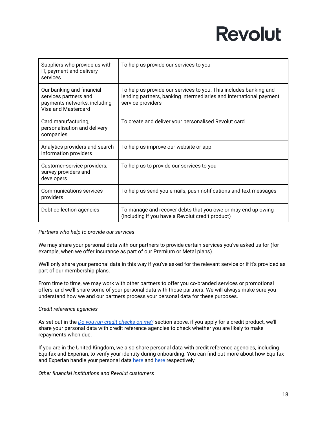| Suppliers who provide us with<br>IT, payment and delivery<br>services                                     | To help us provide our services to you                                                                                                                       |
|-----------------------------------------------------------------------------------------------------------|--------------------------------------------------------------------------------------------------------------------------------------------------------------|
| Our banking and financial<br>services partners and<br>payments networks, including<br>Visa and Mastercard | To help us provide our services to you. This includes banking and<br>lending partners, banking intermediaries and international payment<br>service providers |
| Card manufacturing,<br>personalisation and delivery<br>companies                                          | To create and deliver your personalised Revolut card                                                                                                         |
| Analytics providers and search<br>information providers                                                   | To help us improve our website or app                                                                                                                        |
| Customer-service providers,<br>survey providers and<br>developers                                         | To help us to provide our services to you                                                                                                                    |
| <b>Communications services</b><br>providers                                                               | To help us send you emails, push notifications and text messages                                                                                             |
| Debt collection agencies                                                                                  | To manage and recover debts that you owe or may end up owing<br>(including if you have a Revolut credit product)                                             |

#### *Partners who help to provide our services*

We may share your personal data with our partners to provide certain services you've asked us for (for example, when we offer insurance as part of our Premium or Metal plans).

We'll only share your personal data in this way if you've asked for the relevant service or if it's provided as part of our membership plans.

From time to time, we may work with other partners to offer you co-branded services or promotional offers, and we'll share some of your personal data with those partners. We will always make sure you understand how we and our partners process your personal data for these purposes.

#### *Credit reference agencies*

As set out in the *Do you run credit [checks](#page-12-0) on me?* section above, if you apply for a credit product, we'll share your personal data with credit reference agencies to check whether you are likely to make repayments when due.

If you are in the United Kingdom, we also share personal data with credit reference agencies, including Equifax and Experian, to verify your identity during onboarding. You can find out more about how Equifax and Experian handle your personal data [here](https://www.experian.co.uk/legal/crain/) and here respectively.

#### *Other financial institutions and Revolut customers*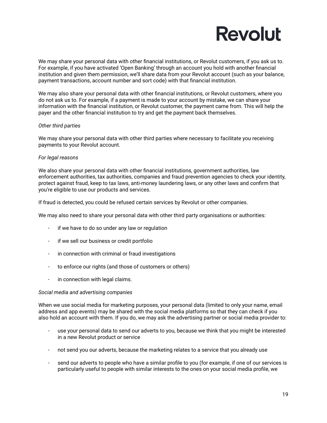We may share your personal data with other financial institutions, or Revolut customers, if you ask us to. For example, if you have activated 'Open Banking' through an account you hold with another financial institution and given them permission, we'll share data from your Revolut account (such as your balance, payment transactions, account number and sort code) with that financial institution.

We may also share your personal data with other financial institutions, or Revolut customers, where you do not ask us to. For example, if a payment is made to your account by mistake, we can share your information with the financial institution, or Revolut customer, the payment came from. This will help the payer and the other financial institution to try and get the payment back themselves.

#### *Other third parties*

We may share your personal data with other third parties where necessary to facilitate you receiving payments to your Revolut account.

#### *For legal reasons*

We also share your personal data with other financial institutions, government authorities, law enforcement authorities, tax authorities, companies and fraud prevention agencies to check your identity, protect against fraud, keep to tax laws, anti-money laundering laws, or any other laws and confirm that you're eligible to use our products and services.

If fraud is detected, you could be refused certain services by Revolut or other companies.

We may also need to share your personal data with other third party organisations or authorities:

- if we have to do so under any law or regulation
- if we sell our business or credit portfolio
- in connection with criminal or fraud investigations
- to enforce our rights (and those of customers or others)
- in connection with legal claims.

#### *Social media and advertising companies*

When we use social media for marketing purposes, your personal data (limited to only your name, email address and app events) may be shared with the social media platforms so that they can check if you also hold an account with them. If you do, we may ask the advertising partner or social media provider to:

- use your personal data to send our adverts to you, because we think that you might be interested in a new Revolut product or service
- not send you our adverts, because the marketing relates to a service that you already use
- send our adverts to people who have a similar profile to you (for example, if one of our services is particularly useful to people with similar interests to the ones on your social media profile, we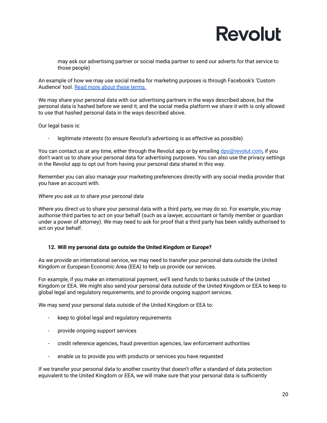may ask our advertising partner or social media partner to send our adverts for that service to those people)

An example of how we may use social media for marketing purposes is through Facebook's 'Custom Audience' tool. Read more about these [terms.](https://www.facebook.com/legal/terms/customaudience)

We may share your personal data with our advertising partners in the ways described above, but the personal data is hashed before we send it, and the social media platform we share it with is only allowed to use that hashed personal data in the ways described above.

Our legal basis is:

legitimate interests (to ensure Revolut's advertising is as effective as possible)

You can contact us at any time, either through the Revolut app or by emailing [dpo@revolut.com,](mailto:dpo@revolut.com) if you don't want us to share your personal data for advertising purposes. You can also use the privacy settings in the Revolut app to opt out from having your personal data shared in this way.

Remember you can also manage your marketing preferences directly with any social media provider that you have an account with.

#### *Where you ask us to share your personal data*

Where you direct us to share your personal data with a third party, we may do so. For example, you may authorise third parties to act on your behalf (such as a lawyer, accountant or family member or guardian under a power of attorney). We may need to ask for proof that a third party has been validly authorised to act on your behalf.

#### <span id="page-19-0"></span>**12. Will my personal data go outside the United Kingdom or Europe?**

As we provide an international service, we may need to transfer your personal data outside the United Kingdom or European Economic Area (EEA) to help us provide our services.

For example, if you make an international payment, we'll send funds to banks outside of the United Kingdom or EEA. We might also send your personal data outside of the United Kingdom or EEA to keep to global legal and regulatory requirements, and to provide ongoing support services.

We may send your personal data outside of the United Kingdom or EEA to:

- keep to global legal and regulatory requirements
- provide ongoing support services
- credit reference agencies, fraud prevention agencies, law enforcement authorities
- enable us to provide you with products or services you have requested

If we transfer your personal data to another country that doesn't offer a standard of data protection equivalent to the United Kingdom or EEA, we will make sure that your personal data is sufficiently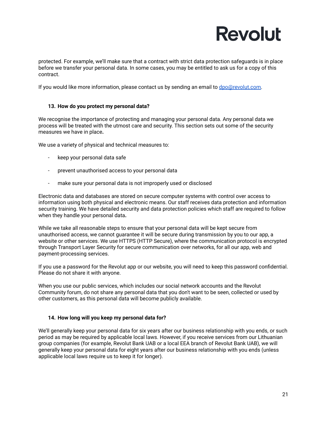protected. For example, we'll make sure that a contract with strict data protection safeguards is in place before we transfer your personal data. In some cases, you may be entitled to ask us for a copy of this contract.

If you would like more information, please contact us by sending an email to [dpo@revolut.com.](mailto:dpo@revolut.com)

#### <span id="page-20-0"></span>**13. How do you protect my personal data?**

We recognise the importance of protecting and managing your personal data. Any personal data we process will be treated with the utmost care and security. This section sets out some of the security measures we have in place**.**

We use a variety of physical and technical measures to:

- keep your personal data safe
- prevent unauthorised access to your personal data
- make sure your personal data is not improperly used or disclosed

Electronic data and databases are stored on secure computer systems with control over access to information using both physical and electronic means. Our staff receives data protection and information security training. We have detailed security and data protection policies which staff are required to follow when they handle your personal data**.**

While we take all reasonable steps to ensure that your personal data will be kept secure from unauthorised access, we cannot guarantee it will be secure during transmission by you to our app, a website or other services. We use HTTPS (HTTP Secure), where the communication protocol is encrypted through Transport Layer Security for secure communication over networks, for all our app, web and payment-processing services.

If you use a password for the Revolut app or our website, you will need to keep this password confidential. Please do not share it with anyone.

When you use our public services, which includes our social network accounts and the Revolut Community forum, do not share any personal data that you don't want to be seen, collected or used by other customers, as this personal data will become publicly available.

#### <span id="page-20-1"></span>**14. How long will you keep my personal data for?**

We'll generally keep your personal data for six years after our business relationship with you ends, or such period as may be required by applicable local laws. However, if you receive services from our Lithuanian group companies (for example, Revolut Bank UAB or a local EEA branch of Revolut Bank UAB), we will generally keep your personal data for eight years after our business relationship with you ends (unless applicable local laws require us to keep it for longer).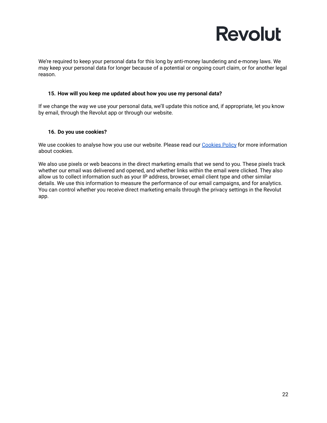

We're required to keep your personal data for this long by anti-money laundering and e-money laws. We may keep your personal data for longer because of a potential or ongoing court claim, or for another legal reason.

#### <span id="page-21-0"></span>**15. How will you keep me updated about how you use my personal data?**

If we change the way we use your personal data, we'll update this notice and, if appropriate, let you know by email, through the Revolut app or through our website.

#### <span id="page-21-1"></span>**16. Do you use cookies?**

We use cookies to analyse how you use our website. Please read our [Cookies](https://www.revolut.com/legal/cookies-policy) Policy for more information about cookies.

We also use pixels or web beacons in the direct marketing emails that we send to you. These pixels track whether our email was delivered and opened, and whether links within the email were clicked. They also allow us to collect information such as your IP address, browser, email client type and other similar details. We use this information to measure the performance of our email campaigns, and for analytics. You can control whether you receive direct marketing emails through the privacy settings in the Revolut app.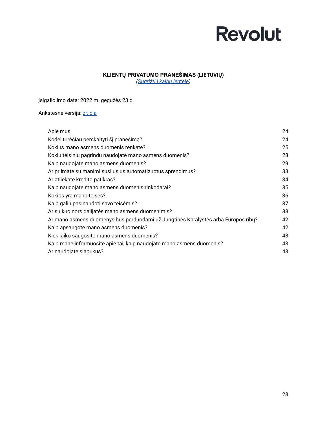#### **KLIENTŲ PRIVATUMO PRANEŠIMAS (LIETUVIŲ)**

*[\(Sugrįžti](#page-0-0) į kalbų lentelę)*

<span id="page-22-0"></span>Įsigaliojimo data: 2022 m. gegužės 23 d.

#### Ankstesnė versija: žr. [čia](https://assets.revolut.com/Privacy/UK-and-EEA-Customer-Privacy-Policy-July-2020-LT.pdf)

| Apie mus                                                                          | 24 |
|-----------------------------------------------------------------------------------|----|
| Kodėl turėčiau perskaityti šį pranešimą?                                          | 24 |
| Kokius mano asmens duomenis renkate?                                              | 25 |
| Kokiu teisiniu pagrindu naudojate mano asmens duomenis?                           | 28 |
| Kaip naudojate mano asmens duomenis?                                              | 29 |
| Ar priimate su manimi susijusius automatizuotus sprendimus?                       | 33 |
| Ar atliekate kredito patikras?                                                    | 34 |
| Kaip naudojate mano asmens duomenis rinkodarai?                                   | 35 |
| Kokios yra mano teisės?                                                           | 36 |
| Kaip galiu pasinaudoti savo teisėmis?                                             | 37 |
| Ar su kuo nors dalijatės mano asmens duomenimis?                                  | 38 |
| Ar mano asmens duomenys bus perduodami už Jungtinės Karalystės arba Europos ribų? | 42 |
| Kaip apsaugote mano asmens duomenis?                                              | 42 |
| Kiek laiko saugosite mano asmens duomenis?                                        | 43 |
| Kaip mane informuosite apie tai, kaip naudojate mano asmens duomenis?             | 43 |
| Ar naudojate slapukus?                                                            | 43 |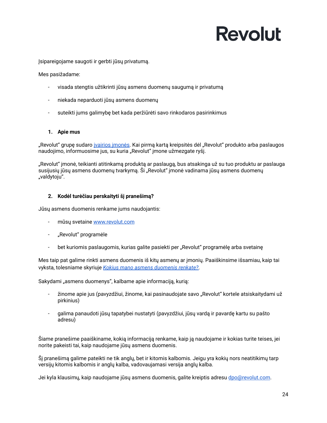Įsipareigojame saugoti ir gerbti jūsų privatumą.

Mes pasižadame:

- visada stengtis užtikrinti jūsų asmens duomenų saugumą ir privatumą
- niekada neparduoti jūsų asmens duomenų
- suteikti jums galimybę bet kada peržiūrėti savo rinkodaros pasirinkimus

#### <span id="page-23-0"></span>**1. Apie mus**

"Revolut" grupę sudaro įvairios [įmonės.](https://www.revolut.com/help/more/legal-topics/which-revolut-companies-provide-me-with-services) Kai pirmą kartą kreipsitės dėl "Revolut" produkto arba paslaugos naudojimo, informuosime jus, su kuria "Revolut" įmone užmezgate ryšį.

"Revolut" įmonė, teikianti atitinkamą produktą ar paslaugą, bus atsakinga už su tuo produktu ar paslauga susijusių jūsų asmens duomenų tvarkymą. Ši "Revolut" įmonė vadinama jūsų asmens duomenų "valdytoju".

#### <span id="page-23-1"></span>**2. Kodėl turėčiau perskaityti šį pranešimą?**

Jūsų asmens duomenis renkame jums naudojantis:

- mūsų svetaine [www.revolut.com](https://www.revolut.com)
- "Revolut" programėle
- bet kuriomis paslaugomis, kurias galite pasiekti per "Revolut" programėlę arba svetainę

Mes taip pat galime rinkti asmens duomenis iš kitų asmenų ar įmonių. Paaiškinsime išsamiau, kaip tai vyksta, tolesniame skyriuje *Kokius mano asmens [duomenis](#page-24-0) renkate?*.

Sakydami "asmens duomenys", kalbame apie informaciją, kurią:

- žinome apie jus (pavyzdžiui, žinome, kai pasinaudojate savo "Revolut" kortele atsiskaitydami už pirkinius)
- galima panaudoti jūsų tapatybei nustatyti (pavyzdžiui, jūsų vardą ir pavardę kartu su pašto adresu)

Šiame pranešime paaiškiname, kokią informaciją renkame, kaip ją naudojame ir kokias turite teises, jei norite pakeisti tai, kaip naudojame jūsų asmens duomenis.

Šį pranešimą galime pateikti ne tik anglų, bet ir kitomis kalbomis. Jeigu yra kokių nors neatitikimų tarp versijų kitomis kalbomis ir anglų kalba, vadovaujamasi versija anglų kalba.

Jei kyla klausimų, kaip naudojame jūsų asmens duomenis, galite kreiptis adresu [dpo@revolut.com](mailto:dpo@revolut.com).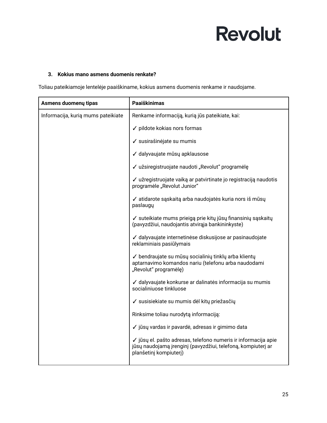#### <span id="page-24-0"></span>**3. Kokius mano asmens duomenis renkate?**

Toliau pateikiamoje lentelėje paaiškiname, kokius asmens duomenis renkame ir naudojame.

| Asmens duomenų tipas               | Paaiškinimas                                                                                                                                             |
|------------------------------------|----------------------------------------------------------------------------------------------------------------------------------------------------------|
| Informacija, kurią mums pateikiate | Renkame informaciją, kurią jūs pateikiate, kai:                                                                                                          |
|                                    | ✓ pildote kokias nors formas                                                                                                                             |
|                                    | √ susirašinėjate su mumis                                                                                                                                |
|                                    | ✓ dalyvaujate mūsų apklausose                                                                                                                            |
|                                    | √ užsiregistruojate naudoti "Revolut" programėlę                                                                                                         |
|                                    | √ užregistruojate vaiką ar patvirtinate jo registraciją naudotis<br>programėle "Revolut Junior"                                                          |
|                                    | √ atidarote sąskaitą arba naudojatės kuria nors iš mūsų<br>paslaugy                                                                                      |
|                                    | ✓ suteikiate mums prieigą prie kitų jūsų finansinių sąskaitų<br>(pavyzdžiui, naudojantis atvirąja bankininkyste)                                         |
|                                    | √ dalyvaujate internetinėse diskusijose ar pasinaudojate<br>reklaminiais pasiūlymais                                                                     |
|                                    | ✔ bendraujate su mūsų socialinių tinklų arba klientų<br>aptarnavimo komandos nariu (telefonu arba naudodami<br>"Revolut" programėlę)                     |
|                                    | √ dalyvaujate konkurse ar dalinatės informacija su mumis<br>socialiniuose tinkluose                                                                      |
|                                    | √ susisiekiate su mumis dėl kitų priežasčių                                                                                                              |
|                                    | Rinksime toliau nurodytą informaciją:                                                                                                                    |
|                                    | √ jūsų vardas ir pavardė, adresas ir gimimo data                                                                                                         |
|                                    | √ jūsų el. pašto adresas, telefono numeris ir informacija apie<br>jūsų naudojamą įrenginį (pavyzdžiui, telefoną, kompiuterį ar<br>planšetinį kompiuterį) |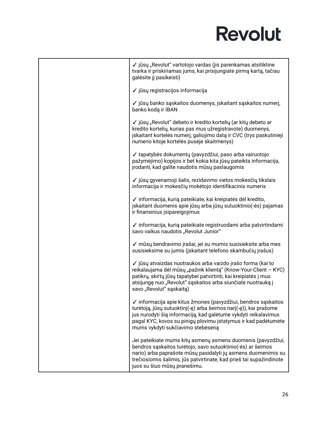| √ jūsų "Revolut" vartotojo vardas (jis parenkamas atsitiktine<br>tvarka ir priskiriamas jums, kai prisijungiate pirmą kartą, tačiau<br>galėsite jį pasikeisti)                                                                                                                                               |
|--------------------------------------------------------------------------------------------------------------------------------------------------------------------------------------------------------------------------------------------------------------------------------------------------------------|
| √ jūsų registracijos informacija                                                                                                                                                                                                                                                                             |
| ✓ jūsų banko sąskaitos duomenys, įskaitant sąskaitos numerį,<br>banko kodą ir IBAN                                                                                                                                                                                                                           |
| √ jūsų "Revolut" debeto ir kredito kortelių (ar kitų debeto ar<br>kredito kortelių, kurias pas mus užregistravote) duomenys,<br>įskaitant kortelės numerį, galiojimo datą ir CVC (trys paskutinieji<br>numerio kitoje kortelės pusėje skaitmenys)                                                            |
| √ tapatybės dokumentų (pavyzdžiui, paso arba vairuotojo<br>pažymėjimo) kopijos ir bet kokia kita jūsų pateikta informacija,<br>jrodanti, kad galite naudotis mūsų paslaugomis                                                                                                                                |
| √ jūsų gyvenamoji šalis, rezidavimo vietos mokesčių tikslais<br>informacija ir mokesčių mokėtojo identifikacinis numeris                                                                                                                                                                                     |
| √ informacija, kurią pateikiate, kai kreipiatės dėl kredito,<br>jskaitant duomenis apie jūsų arba jūsų sutuoktinio(-ės) pajamas<br>ir finansinius įsipareigojimus                                                                                                                                            |
| √ informacija, kurią pateikiate registruodami arba patvirtindami<br>savo vaikus naudotis "Revolut Junior"                                                                                                                                                                                                    |
| √ mūsų bendravimo įrašai, jei su mumis susisieksite arba mes<br>susisieksime su jumis (įskaitant telefono skambučių įrašus)                                                                                                                                                                                  |
| √ jūsų atvaizdas nuotraukos arba vaizdo įrašo forma (kai to<br>reikalaujama dėl mūsų "pažink klientą" (Know-Your-Client - KYC)<br>patikrų, skirtų jūsų tapatybei patvirtinti, kai kreipiatės į mus<br>atsijungę nuo "Revolut" sąskaitos arba siunčiate nuotrauką į<br>savo "Revolut" sąskaitą)               |
| √ informacija apie kitus žmones (pavyzdžiui, bendros sąskaitos<br>turėtoją, jūsų sutuoktinį(-ę) arba šeimos narį(-ę)), kai prašome<br>jus nurodyti šią informaciją, kad galėtume vykdyti reikalavimus<br>pagal KYC, kovos su pinigų plovimu įstatymus ir kad padėtumėte<br>mums vykdyti sukčiavimo stebėseną |
| Jei pateikiate mums kitų asmenų asmens duomenis (pavyzdžiui,<br>bendros sąskaitos turėtojo, savo sutuoktinio(-ės) ar šeimos<br>nario) arba paprašote mūsų pasidalyti jų asmens duomenimis su<br>trečiosiomis šalimis, jūs patvirtinate, kad prieš tai supažindinote<br>juos su šiuo mūsų pranešimu.          |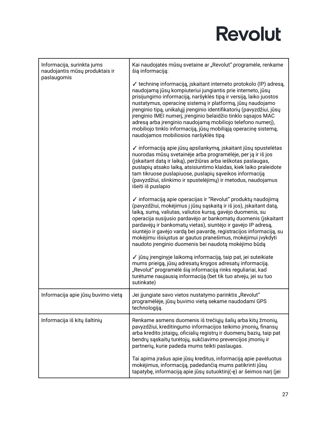| Informacija, surinkta jums<br>naudojantis mūsų produktais ir | Kai naudojatės mūsų svetaine ar "Revolut" programėle, renkame<br>šią informaciją:                                                                                                                                                                                                                                                                                                                                                                                                                                                                                                          |
|--------------------------------------------------------------|--------------------------------------------------------------------------------------------------------------------------------------------------------------------------------------------------------------------------------------------------------------------------------------------------------------------------------------------------------------------------------------------------------------------------------------------------------------------------------------------------------------------------------------------------------------------------------------------|
| paslaugomis                                                  | ✓ techninę informaciją, įskaitant interneto protokolo (IP) adresą,<br>naudojamą jūsų kompiuteriui jungiantis prie interneto, jūsų<br>prisijungimo informaciją, naršyklės tipą ir versiją, laiko juostos<br>nustatymus, operacinę sistemą ir platformą, jūsų naudojamo<br>įrenginio tipą, unikalųjį įrenginio identifikatorių (pavyzdžiui, jūsų<br>įrenginio IMEI numerį, įrenginio belaidžio tinklo sąsajos MAC<br>adresą arba įrenginio naudojamą mobiliojo telefono numerį),<br>mobiliojo tinklo informaciją, jūsų mobiliąją operacinę sistemą,<br>naudojamos mobiliosios naršyklės tipą |
|                                                              | √ informaciją apie jūsų apsilankymą, įskaitant jūsų spustelėtas<br>nuorodas mūsų svetainėje arba programėlėje, per ją ir iš jos<br>(įskaitant datą ir laiką), peržiūras arba ieškotas paslaugas,<br>puslapių atsako laiką, atsisiuntimo klaidas, kiek laiko praleidote<br>tam tikruose puslapiuose, puslapių sąveikos informaciją<br>(pavyzdžiui, slinkimo ir spustelėjimų) ir metodus, naudojamus<br>išeiti iš puslapio                                                                                                                                                                   |
|                                                              | √ informaciją apie operacijas ir "Revolut" produktų naudojimą<br>(pavyzdžiui, mokėjimus į jūsų sąskaitą ir iš jos), įskaitant datą,<br>laiką, sumą, valiutas, valiutos kursą, gavėjo duomenis, su<br>operacija susijusio pardavėjo ar bankomatų duomenis (įskaitant<br>pardavėjų ir bankomatų vietas), siuntėjo ir gavėjo IP adresą,<br>siuntėjo ir gavėjo vardą bei pavardę, registracijos informaciją, su<br>mokėjimu išsiųstus ar gautus pranešimus, mokėjimui įvykdyti<br>naudoto įrenginio duomenis bei naudotą mokėjimo būdą                                                         |
|                                                              | √ jūsų įrenginyje laikomą informaciją, taip pat, jei suteikiate<br>mums prieigą, jūsų adresatų knygos adresatų informaciją.<br>"Revolut" programėlė šią informaciją rinks reguliariai, kad<br>turėtume naujausią informaciją (bet tik tuo atveju, jei su tuo<br>sutinkate)                                                                                                                                                                                                                                                                                                                 |
| Informacija apie jūsų buvimo vietą                           | Jei jjungiate savo vietos nustatymo parinktis "Revolut"<br>programėlėje, jūsų buvimo vietą sekame naudodami GPS<br>technologiją.                                                                                                                                                                                                                                                                                                                                                                                                                                                           |
| Informacija iš kitų šaltinių                                 | Renkame asmens duomenis iš trečiųjų šalių arba kitų žmonių,<br>pavyzdžiui, kreditingumo informacijos teikimo įmonių, finansų<br>arba kredito įstaigų, oficialių registrų ir duomenų bazių, taip pat<br>bendrų sąskaitų turėtojų, sukčiavimo prevencijos įmonių ir<br>partnerių, kurie padeda mums teikti paslaugas.                                                                                                                                                                                                                                                                        |
|                                                              | Tai apima įrašus apie jūsų kreditus, informaciją apie pavėluotus<br>mokėjimus, informaciją, padedančią mums patikrinti jūsų<br>tapatybę, informaciją apie jūsų sutuoktinį(-ę) ar šeimos narį (jei                                                                                                                                                                                                                                                                                                                                                                                          |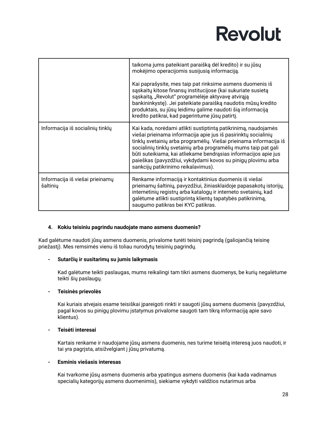|                                             | taikoma jums pateikiant paraišką dėl kredito) ir su jūsų<br>mokėjimo operacijomis susijusią informaciją.<br>Kai paprašysite, mes taip pat rinksime asmens duomenis iš<br>sąskaitų kitose finansų institucijose (kai sukuriate susietą<br>sąskaitą, "Revolut" programėlėje aktyvavę atvirąją<br>bankininkystę). Jei pateikiate paraišką naudotis mūsų kredito<br>produktais, su jūsų leidimu galime naudoti šią informaciją<br>kredito patikrai, kad pagerintume jūsų patirtį. |
|---------------------------------------------|-------------------------------------------------------------------------------------------------------------------------------------------------------------------------------------------------------------------------------------------------------------------------------------------------------------------------------------------------------------------------------------------------------------------------------------------------------------------------------|
| Informacija iš socialinių tinklų            | Kai kada, norėdami atlikti sustiptintą patikrinimą, naudojamės<br>viešai prieinama informacija apie jus iš pasirinktų socialinių<br>tinklų svetainių arba programėlių. Viešai prieinama informacija iš<br>socialinių tinklų svetainių arba programėlių mums taip pat gali<br>būti suteikiama, kai atliekame bendrąsias informacijos apie jus<br>paieškas (pavyzdžiui, vykdydami kovos su pinigų plovimu arba<br>sankcijų patikrinimo reikalavimus).                           |
| Informacija iš viešai prieinamų<br>šaltinių | Renkame informaciją ir kontaktinius duomenis iš viešai<br>prieinamų šaltinių, pavyzdžiui, žiniasklaidoje papasakotų istorijų,<br>internetinių registrų arba katalogų ir interneto svetainių, kad<br>galėtume atlikti sustiprintą klientų tapatybės patikrinimą,<br>saugumo patikras bei KYC patikras.                                                                                                                                                                         |

#### <span id="page-27-0"></span>**4. Kokiu teisiniu pagrindu naudojate mano asmens duomenis?**

Kad galėtume naudoti jūsų asmens duomenis, privalome turėti teisinį pagrindą (galiojančią teisinę priežastį). Mes remsimės vienu iš toliau nurodytų teisinių pagrindų.

#### **- Sutarčių ir susitarimų su jumis laikymasis**

Kad galėtume teikti paslaugas, mums reikalingi tam tikri asmens duomenys, be kurių negalėtume teikti šių paslaugų.

#### **- Teisinės prievolės**

Kai kuriais atvejais esame teisiškai įpareigoti rinkti ir saugoti jūsų asmens duomenis (pavyzdžiui, pagal kovos su pinigų plovimu įstatymus privalome saugoti tam tikrą informaciją apie savo klientus).

#### **- Teisėti interesai**

Kartais renkame ir naudojame jūsų asmens duomenis, nes turime teisėtą interesą juos naudoti, ir tai yra pagrįsta, atsižvelgiant į jūsų privatumą.

#### **- Esminis viešasis interesas**

Kai tvarkome jūsų asmens duomenis arba ypatingus asmens duomenis (kai kada vadinamus specialių kategorijų asmens duomenimis), siekiame vykdyti valdžios nutarimus arba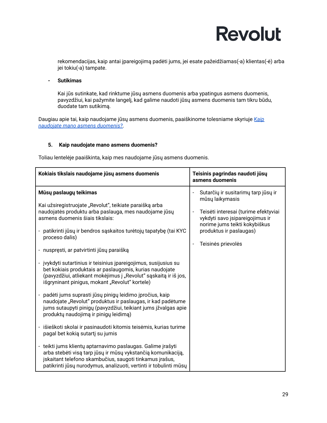rekomendacijas, kaip antai įpareigojimą padėti jums, jei esate pažeidžiamas(-a) klientas(-ė) arba jei tokiu(-a) tampate.

**- Sutikimas**

Kai jūs sutinkate, kad rinktume jūsų asmens duomenis arba ypatingus asmens duomenis, pavyzdžiui, kai pažymite langelį, kad galime naudoti jūsų asmens duomenis tam tikru būdu, duodate tam sutikimą.

Daugiau apie tai, kaip naudojame jūsų asmens duomenis, paaiškinome tolesniame skyriuje *[Kaip](#page-28-0) naudojate mano asmens [duomenis?](#page-28-0)*.

#### <span id="page-28-0"></span>**5. Kaip naudojate mano asmens duomenis?**

Toliau lentelėje paaiškinta, kaip mes naudojame jūsų asmens duomenis.

| Kokiais tikslais naudojame jūsų asmens duomenis                                                                                                                                                                                                                                                                                                                                                                                                                                                                                                                                                                                                                                                                                                                                                                                                                                                                                                                                                                                                                                                                                                                                                                   | Teisinis pagrindas naudoti jūsų<br>asmens duomenis                                                                                                                                                                  |
|-------------------------------------------------------------------------------------------------------------------------------------------------------------------------------------------------------------------------------------------------------------------------------------------------------------------------------------------------------------------------------------------------------------------------------------------------------------------------------------------------------------------------------------------------------------------------------------------------------------------------------------------------------------------------------------------------------------------------------------------------------------------------------------------------------------------------------------------------------------------------------------------------------------------------------------------------------------------------------------------------------------------------------------------------------------------------------------------------------------------------------------------------------------------------------------------------------------------|---------------------------------------------------------------------------------------------------------------------------------------------------------------------------------------------------------------------|
| Mūsų paslaugų teikimas<br>Kai užsiregistruojate "Revolut", teikiate paraišką arba<br>naudojatės produktu arba paslauga, mes naudojame jūsų<br>asmens duomenis šiais tikslais:<br>patikrinti jūsų ir bendros sąskaitos turėtojų tapatybę (tai KYC<br>$\blacksquare$<br>proceso dalis)<br>- nuspręsti, ar patvirtinti jūsų paraišką<br>jvykdyti sutartinius ir teisinius įpareigojimus, susijusius su<br>bet kokiais produktais ar paslaugomis, kurias naudojate<br>(pavyzdžiui, atliekant mokėjimus į "Revolut" sąskaitą ir iš jos,<br>išgryninant pinigus, mokant "Revolut" kortele)<br>padėti jums suprasti jūsų pinigų leidimo įpročius, kaip<br>naudojate "Revolut" produktus ir paslaugas, ir kad padėtume<br>jums sutaupyti pinigų (pavyzdžiui, teikiant jums įžvalgas apie<br>produktų naudojimą ir pinigų leidimą)<br>išieškoti skolai ir pasinaudoti kitomis teisėmis, kurias turime<br>$\blacksquare$<br>pagal bet kokią sutartį su jumis<br>- teikti jums klientų aptarnavimo paslaugas. Galime įrašyti<br>arba stebėti visą tarp jūsų ir mūsų vykstančią komunikaciją,<br>įskaitant telefono skambučius, saugoti tinkamus įrašus,<br>patikrinti jūsų nurodymus, analizuoti, vertinti ir tobulinti mūsų | Sutarčių ir susitarimų tarp jūsų ir<br>mūsų laikymasis<br>Teisėti interesai (turime efektyviai<br>vykdyti savo įsipareigojimus ir<br>norime jums teikti kokybiškus<br>produktus ir paslaugas)<br>Teisinės prievolės |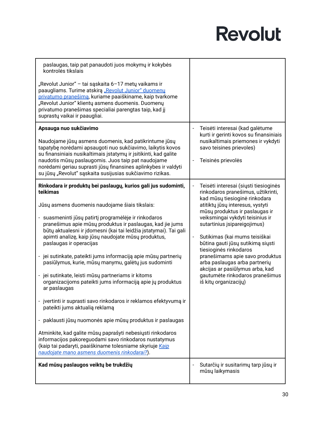| paslaugas, taip pat panaudoti juos mokymų ir kokybės<br>kontrolės tikslais                                                                                                                                                                                                                                             |                                                                                                                                                                  |
|------------------------------------------------------------------------------------------------------------------------------------------------------------------------------------------------------------------------------------------------------------------------------------------------------------------------|------------------------------------------------------------------------------------------------------------------------------------------------------------------|
| "Revolut Junior" – tai sąskaita 6–17 metų vaikams ir<br>paaugliams. Turime atskirą "Revolut Junior" duomenų<br>privatumo pranešimą, kuriame paaiškiname, kaip tvarkome<br>"Revolut Junior" klientų asmens duomenis. Duomenų<br>privatumo pranešimas specialiai parengtas taip, kad jį<br>suprastų vaikai ir paaugliai. |                                                                                                                                                                  |
| Apsauga nuo sukčiavimo                                                                                                                                                                                                                                                                                                 | Teisėti interesai (kad galėtume<br>kurti ir gerinti kovos su finansiniais                                                                                        |
| Naudojame jūsų asmens duomenis, kad patikrintume jūsų<br>tapatybę norėdami apsaugoti nuo sukčiavimo, laikytis kovos<br>su finansiniais nusikaltimais įstatymų ir įsitikinti, kad galite                                                                                                                                | nusikaltimais priemones ir vykdyti<br>savo teisines prievoles)                                                                                                   |
| naudotis mūsų paslaugomis. Juos taip pat naudojame<br>norėdami geriau suprasti jūsų finansines aplinkybes ir valdyti<br>su jūsų "Revolut" sąskaita susijusias sukčiavimo rizikas.                                                                                                                                      | Teisinės prievolės                                                                                                                                               |
| Rinkodara ir produktų bei paslaugų, kurios gali jus sudominti,<br>teikimas                                                                                                                                                                                                                                             | Teisėti interesai (siųsti tiesioginės<br>rinkodaros pranešimus, užtikrinti,<br>kad mūsų tiesioginė rinkodara                                                     |
| Jūsų asmens duomenis naudojame šiais tikslais:                                                                                                                                                                                                                                                                         | atitiktų jūsų interesus, vystyti<br>mūsų produktus ir paslaugas ir                                                                                               |
| - suasmeninti jūsų patirtį programėlėje ir rinkodaros<br>pranešimus apie mūsų produktus ir paslaugas, kad jie jums<br>būtų aktualesni ir įdomesni (kai tai leidžia įstatymai). Tai gali<br>apimti analizę, kaip jūsų naudojate mūsų produktus,<br>paslaugas ir operacijas                                              | veiksmingai vykdyti teisinius ir<br>sutartinius įsipareigojimus)<br>Sutikimas (kai mums teisiškai<br>būtina gauti jūsų sutikimą siųsti<br>tiesioginės rinkodaros |
| - jei sutinkate, pateikti jums informaciją apie mūsų partnerių<br>pasiūlymus, kurie, mūsų manymu, galėtų jus sudominti                                                                                                                                                                                                 | pranešimams apie savo produktus<br>arba paslaugas arba partnerių                                                                                                 |
| - jei sutinkate, leisti mūsų partneriams ir kitoms<br>organizacijoms pateikti jums informaciją apie jų produktus<br>ar paslaugas                                                                                                                                                                                       | akcijas ar pasiūlymus arba, kad<br>gautumėte rinkodaros pranešimus<br>iš kitų organizacijų)                                                                      |
| jvertinti ir suprasti savo rinkodaros ir reklamos efektyvumą ir<br>pateikti jums aktualią reklamą                                                                                                                                                                                                                      |                                                                                                                                                                  |
| - paklausti jūsų nuomonės apie mūsų produktus ir paslaugas                                                                                                                                                                                                                                                             |                                                                                                                                                                  |
| Atminkite, kad galite mūsų paprašyti nebesiųsti rinkodaros<br>informacijos pakoreguodami savo rinkodaros nustatymus<br>(kaip tai padaryti, paaiškiname tolesniame skyriuje Kaip<br>naudojate mano asmens duomenis rinkodarai?).                                                                                        |                                                                                                                                                                  |
| Kad mūsų paslaugos veiktų be trukdžių                                                                                                                                                                                                                                                                                  | Sutarčių ir susitarimų tarp jūsų ir<br>mūsų laikymasis                                                                                                           |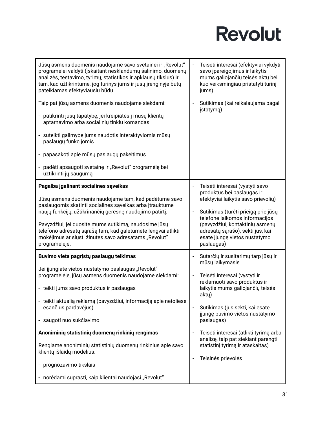| Jūsų asmens duomenis naudojame savo svetainei ir "Revolut"<br>programėlei valdyti (įskaitant nesklandumų šalinimo, duomenų<br>analizės, testavimo, tyrimų, statistikos ir apklausų tikslus) ir<br>tam, kad užtikrintume, jog turinys jums ir jūsų įrenginyje būtų<br>pateikiamas efektyviausiu būdu.                                                                                                                      | Teisėti interesai (efektyviai vykdyti<br>savo įpareigojimus ir laikytis<br>mums galiojančių teisės aktų bei<br>kuo veiksmingiau pristatyti turinį<br>jums)                                                                                                                                          |
|---------------------------------------------------------------------------------------------------------------------------------------------------------------------------------------------------------------------------------------------------------------------------------------------------------------------------------------------------------------------------------------------------------------------------|-----------------------------------------------------------------------------------------------------------------------------------------------------------------------------------------------------------------------------------------------------------------------------------------------------|
| Taip pat jūsų asmens duomenis naudojame siekdami:<br>- patikrinti jūsų tapatybę, jei kreipiatės į mūsų klientų<br>aptarnavimo arba socialinių tinklų komandas<br>- suteikti galimybę jums naudotis interaktyviomis mūsų<br>paslaugų funkcijomis                                                                                                                                                                           | Sutikimas (kai reikalaujama pagal<br>jstatymą)                                                                                                                                                                                                                                                      |
| - papasakoti apie mūsų paslaugų pakeitimus<br>- padėti apsaugoti svetainę ir "Revolut" programėlę bei<br>užtikrinti jų saugumą                                                                                                                                                                                                                                                                                            |                                                                                                                                                                                                                                                                                                     |
| Pagalba jgalinant socialines sąveikas<br>Jūsų asmens duomenis naudojame tam, kad padėtume savo<br>paslaugomis skatinti socialines sąveikas arba įtrauktume<br>naujų funkcijų, užtikrinančių geresnę naudojimo patirtį.<br>Pavyzdžiui, jei duosite mums sutikimą, naudosime jūsų<br>telefono adresatų sąrašą tam, kad galėtumėte lengvai atlikti<br>mokėjimus ar siųsti žinutes savo adresatams "Revolut"<br>programėlėje. | Teisėti interesai (vystyti savo<br>produktus bei paslaugas ir<br>efektyviai laikytis savo prievolių)<br>Sutikimas (turėti prieigą prie jūsų<br>telefone laikomos informacijos<br>(pavyzdžiui, kontaktinių asmenų<br>adresatų sąrašo), sekti jus, kai<br>esate jjungę vietos nustatymo<br>paslaugas) |
| Buvimo vieta pagrįstų paslaugų teikimas<br>Jei įjungiate vietos nustatymo paslaugas "Revolut"<br>programėlėje, jūsų asmens duomenis naudojame siekdami:<br>- teikti jums savo produktus ir paslaugas<br>- teikti aktualią reklamą (pavyzdžiui, informaciją apie netoliese<br>esančius pardavėjus)<br>- saugoti nuo sukčiavimo                                                                                             | Sutarčių ir susitarimų tarp jūsų ir<br>mūsų laikymasis<br>Teisėti interesai (vystyti ir<br>reklamuoti savo produktus ir<br>laikytis mums galiojančių teisės<br>akty)<br>Sutikimas (jus sekti, kai esate<br>jjungę buvimo vietos nustatymo<br>paslaugas)                                             |
| Anoniminių statistinių duomenų rinkinių rengimas<br>Rengiame anoniminių statistinių duomenų rinkinius apie savo<br>klientų išlaidų modelius:<br>- prognozavimo tikslais<br>- norėdami suprasti, kaip klientai naudojasi "Revolut"                                                                                                                                                                                         | Teisėti interesai (atlikti tyrimą arba<br>analizę, taip pat siekiant parengti<br>statistinį tyrimą ir ataskaitas)<br>Teisinės prievolės                                                                                                                                                             |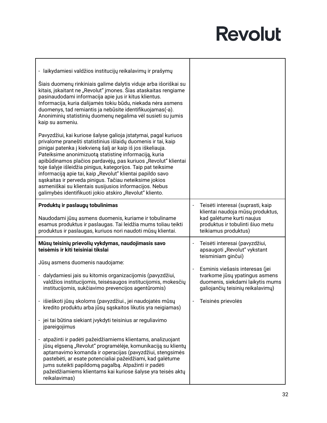| - laikydamiesi valdžios institucijų reikalavimų ir prašymų                                                                                                                                                                                                                                                                                                                                                                                                                                                                                                                                                                                |                                                                                                                                                                |
|-------------------------------------------------------------------------------------------------------------------------------------------------------------------------------------------------------------------------------------------------------------------------------------------------------------------------------------------------------------------------------------------------------------------------------------------------------------------------------------------------------------------------------------------------------------------------------------------------------------------------------------------|----------------------------------------------------------------------------------------------------------------------------------------------------------------|
| Šiais duomenų rinkiniais galime dalytis viduje arba išoriškai su<br>kitais, įskaitant ne "Revolut" įmones. Šias ataskaitas rengiame<br>pasinaudodami informacija apie jus ir kitus klientus.<br>Informacija, kuria dalijamės tokiu būdu, niekada nėra asmens<br>duomenys, tad remiantis ja nebūsite identifikuojamas(-a).<br>Anoniminių statistinių duomenų negalima vėl susieti su jumis<br>kaip su asmeniu.                                                                                                                                                                                                                             |                                                                                                                                                                |
| Pavyzdžiui, kai kuriose šalyse galioja įstatymai, pagal kuriuos<br>privalome pranešti statistinius išlaidų duomenis ir tai, kaip<br>pinigai patenka į kiekvieną šalį ar kaip iš jos iškeliauja.<br>Pateiksime anonimizuotą statistinę informaciją, kuria<br>apibūdinamos plačios pardavėjų, pas kuriuos "Revolut" klientai<br>toje šalyje išleidžia pinigus, kategorijos. Taip pat teiksime<br>informaciją apie tai, kaip "Revolut" klientai papildo savo<br>sąskaitas ir perveda pinigus. Tačiau neteiksime jokios<br>asmeniškai su klientais susijusios informacijos. Nebus<br>galimybės identifikuoti jokio atskiro "Revolut" kliento. |                                                                                                                                                                |
| Produktų ir paslaugų tobulinimas<br>Naudodami jūsų asmens duomenis, kuriame ir tobuliname<br>esamus produktus ir paslaugas. Tai leidžia mums toliau teikti<br>produktus ir paslaugas, kuriuos nori naudoti mūsų klientai.                                                                                                                                                                                                                                                                                                                                                                                                                 | Teisėti interesai (suprasti, kaip<br>klientai naudoja mūsų produktus,<br>kad galėtume kurti naujus<br>produktus ir tobulinti šiuo metu<br>teikiamus produktus) |
| Mūsų teisinių prievolių vykdymas, naudojimasis savo<br>teisėmis ir kiti teisiniai tikslai                                                                                                                                                                                                                                                                                                                                                                                                                                                                                                                                                 | Teisėti interesai (pavyzdžiui,<br>apsaugoti "Revolut" vykstant<br>teisminiam ginčui)                                                                           |
| Jūsų asmens duomenis naudojame:                                                                                                                                                                                                                                                                                                                                                                                                                                                                                                                                                                                                           |                                                                                                                                                                |
| - dalydamiesi jais su kitomis organizacijomis (pavyzdžiui,<br>valdžios institucijomis, teisėsaugos institucijomis, mokesčių<br>institucijomis, sukčiavimo prevencijos agentūromis)                                                                                                                                                                                                                                                                                                                                                                                                                                                        | Esminis viešasis interesas (jei<br>tvarkome jūsų ypatingus asmens<br>duomenis, siekdami laikytis mums<br>galiojančių teisinių reikalavimų)                     |
|                                                                                                                                                                                                                                                                                                                                                                                                                                                                                                                                                                                                                                           |                                                                                                                                                                |
| išieškoti jūsų skoloms (pavyzdžiui., jei naudojatės mūsų<br>kredito produktu arba jūsų sąskaitos likutis yra neigiamas)                                                                                                                                                                                                                                                                                                                                                                                                                                                                                                                   | Teisinės prievolės                                                                                                                                             |
| - jei tai būtina siekiant įvykdyti teisinius ar reguliavimo<br>jpareigojimus                                                                                                                                                                                                                                                                                                                                                                                                                                                                                                                                                              |                                                                                                                                                                |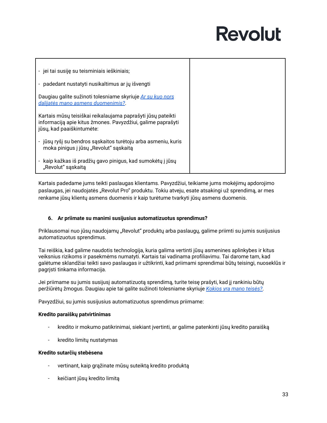| - jei tai susiję su teisminiais ieškiniais;                                                                                |  |
|----------------------------------------------------------------------------------------------------------------------------|--|
|                                                                                                                            |  |
| - padedant nustatyti nusikaltimus ar jų išvengti                                                                           |  |
| Daugiau galite sužinoti tolesniame skyriuje Ar su kuo nors                                                                 |  |
| dalijatės mano asmens duomenimis?                                                                                          |  |
|                                                                                                                            |  |
| Kartais mūsų teisiškai reikalaujama paprašyti jūsų pateikti<br>informaciją apie kitus žmones. Pavyzdžiui, galime paprašyti |  |
| jūsų, kad paaiškintumėte:                                                                                                  |  |
|                                                                                                                            |  |
| - jūsų ryšį su bendros sąskaitos turėtoju arba asmeniu, kuris                                                              |  |
| moka pinigus į jūsų "Revolut" sąskaitą                                                                                     |  |
| - kaip kažkas iš pradžių gavo pinigus, kad sumokėtų į jūsų                                                                 |  |
| "Revolut" sąskaitą                                                                                                         |  |

Kartais padedame jums teikti paslaugas klientams. Pavyzdžiui, teikiame jums mokėjimų apdorojimo paslaugas, jei naudojatės "Revolut Pro" produktu. Tokiu atveju, esate atsakingi už sprendimą, ar mes renkame jūsų klientų asmens duomenis ir kaip turėtume tvarkyti jūsų asmens duomenis.

#### <span id="page-32-0"></span>**6. Ar priimate su manimi susijusius automatizuotus sprendimus?**

Priklausomai nuo jūsų naudojamų "Revolut" produktų arba paslaugų, galime priimti su jumis susijusius automatizuotus sprendimus.

Tai reiškia, kad galime naudotis technologija, kuria galima vertinti jūsų asmenines aplinkybes ir kitus veiksnius rizikoms ir pasekmėms numatyti. Kartais tai vadinama profiliavimu. Tai darome tam, kad galėtume sklandžiai teikti savo paslaugas ir užtikrinti, kad priimami sprendimai būtų teisingi, nuoseklūs ir pagrįsti tinkama informacija.

Jei priimame su jumis susijusį automatizuotą sprendimą, turite teisę prašyti, kad jį rankiniu būtų peržiūrėtų žmogus. Daugiau apie tai galite sužinoti tolesniame skyriuje *Kokios yra mano [teisės?](#page-34-1)*.

Pavyzdžiui, su jumis susijusius automatizuotus sprendimus priimame:

#### **Kredito paraiškų patvirtinimas**

- kredito ir mokumo patikrinimai, siekiant įvertinti, ar galime patenkinti jūsų kredito paraišką
- kredito limitų nustatymas

#### **Kredito sutarčių stebėsena**

- vertinant, kaip grąžinate mūsų suteiktą kredito produktą
- keičiant jūsų kredito limitą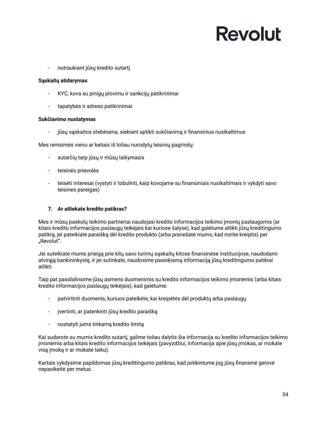nutraukiant jūsų kredito sutartį

#### **Sąskaitų atidarymas**

- KYC, kova su pinigų plovimu ir sankcijų patikrinimai
- tapatybės ir adreso patikrinimai

#### **Sukčiavimo nustatymas**

jūsų sąskaitos stebėsena, siekiant aptikti sukčiavimą ir finansinius nusikaltimus

Mes remsimės vienu ar keliais iš toliau nurodytų teisinių pagrindų:

- sutarčių tarp jūsų ir mūsų laikymasis
- teisinės prievolės
- teisėti interesai (vystyti ir tobulinti, kaip kovojame su finansiniais nusikaltimais ir vykdyti savo teisines pareigas)

#### <span id="page-33-0"></span>**7. Ar atliekate kredito patikras?**

Mes ir mūsų paskolų teikimo partneriai naudojasi kredito informacijos teikimo įmonių paslaugomis (ar kitais kredito informacijos paslaugų teikėjais kai kuriose šalyse), kad galėtume atlikti jūsų kreditingumo patikrą, jei pateikiate paraišką dėl kredito produkto (arba pranešate mums, kad norite kreiptis) per "Revolut".

Jei suteikiate mums prieigą prie kitų savo turimų sąskaitų kitose finansinėse institucijose, naudodami atvirąją bankininkystę, ir jei sutinkate, naudosime pasiekiamą informaciją jūsų kreditingumo patikrai atlikti.

Taip pat pasidalinsime jūsų asmens duomenimis su kredito informacijos teikimo įmonėmis (arba kitais kredito informacijos paslaugų teikėjais), kad galėtume:

- patvirtinti duomenis, kuriuos pateikėte, kai kreipėtės dėl produktų arba paslaugų
- įvertinti, ar patenkinti jūsų kredito paraišką
- nustatyti jums tinkamą kredito limitą

Kai sudarote su mumis kredito sutartį, galime toliau dalytis šia informacija su kredito informacijos teikimo įmonėmis arba kitais kredito informacijos teikėjais (pavyzdžiui, informacija apie jūsų įmokas, ar mokate visą įmoką ir ar mokate laiku).

Kartais vykdysime papildomas jūsų kreditingumo patikras, kad įsitikintume jog jūsų finansinė gerovė nepasikeitė per metus.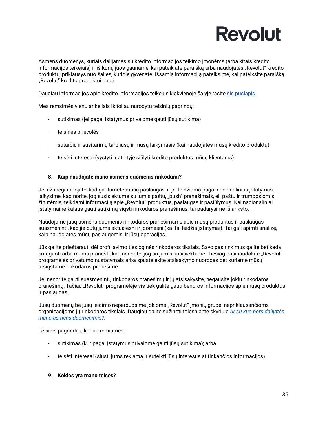Asmens duomenys, kuriais dalijamės su kredito informacijos teikimo įmonėms (arba kitais kredito informacijos teikėjais) ir iš kurių juos gauname, kai pateikiate paraišką arba naudojatės "Revolut" kredito produktu, priklausys nuo šalies, kurioje gyvenate. Išsamią informaciją pateiksime, kai pateiksite paraišką "Revolut" kredito produktui gauti.

Daugiau informacijos apie kredito informacijos teikėjus kiekvienoje šalyje rasite šis [puslapis.](https://assets.revolut.com/Privacy/UK-and-EEA-additional-information-about-credit-information-providers-for-personal-account-customers.pdf)

Mes remsimės vienu ar keliais iš toliau nurodytų teisinių pagrindų:

- sutikimas (jei pagal įstatymus privalome gauti jūsų sutikimą)
- teisinės prievolės
- sutarčių ir susitarimų tarp jūsų ir mūsų laikymasis (kai naudojatės mūsų kredito produktu)
- teisėti interesai (vystyti ir ateityje siūlyti kredito produktus mūsų klientams).

#### <span id="page-34-0"></span>**8. Kaip naudojate mano asmens duomenis rinkodarai?**

Jei užsiregistruojate, kad gautumėte mūsų paslaugas, ir jei leidžiama pagal nacionalinius įstatymus, laikysime, kad norite, jog susisiektume su jumis paštu, "push" pranešimais, el. paštu ir trumposiomis žinutėmis, teikdami informaciją apie "Revolut" produktus, paslaugas ir pasiūlymus. Kai nacionaliniai įstatymai reikalaus gauti sutikimą siųsti rinkodaros pranešimus, tai padarysime iš anksto.

Naudojame jūsų asmens duomenis rinkodaros pranešimams apie mūsų produktus ir paslaugas suasmeninti, kad jie būtų jums aktualesni ir įdomesni (kai tai leidžia įstatymai). Tai gali apimti analizę, kaip naudojatės mūsų paslaugomis, ir jūsų operacijas.

Jūs galite prieštarauti dėl profiliavimo tiesioginės rinkodaros tikslais. Savo pasirinkimus galite bet kada koreguoti arba mums pranešti, kad nenorite, jog su jumis susisiektume. Tiesiog pasinaudokite "Revolut" programėlės privatumo nustatymais arba spustelėkite atsisakymo nuorodas bet kuriame mūsų atsiųstame rinkodaros pranešime.

Jei nenorite gauti suasmenintų rinkodaros pranešimų ir jų atsisakysite, negausite jokių rinkodaros pranešimų. Tačiau "Revolut" programėlėje vis tiek galite gauti bendros informacijos apie mūsų produktus ir paslaugas.

Jūsų duomenų be jūsų leidimo neperduosime jokioms "Revolut" įmonių grupei nepriklausančioms organizacijoms jų rinkodaros tikslais. Daugiau galite sužinoti tolesniame skyriuje *Ar su kuo nors [dalijatės](#page-37-0) mano asmens [duomenimis?](#page-37-0)*.

Teisinis pagrindas, kuriuo remiamės:

- sutikimas (kur pagal įstatymus privalome gauti jūsų sutikimą); arba
- teisėti interesai (siųsti jums reklamą ir suteikti jūsų interesus atitinkančios informacijos).

#### <span id="page-34-1"></span>**9. Kokios yra mano teisės?**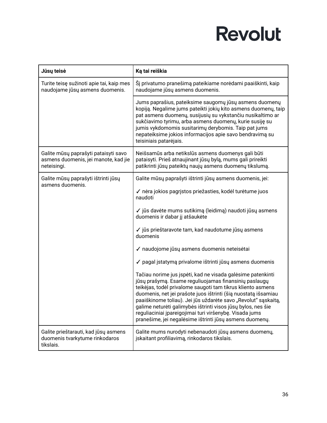| Jūsų teisė                                                                                  | Ką tai reiškia                                                                                                                                                                                                                                                                                                                                                                                                                                                                                                |
|---------------------------------------------------------------------------------------------|---------------------------------------------------------------------------------------------------------------------------------------------------------------------------------------------------------------------------------------------------------------------------------------------------------------------------------------------------------------------------------------------------------------------------------------------------------------------------------------------------------------|
| Turite teisę sužinoti apie tai, kaip mes<br>naudojame jūsų asmens duomenis.                 | Šį privatumo pranešimą pateikiame norėdami paaiškinti, kaip<br>naudojame jūsų asmens duomenis.                                                                                                                                                                                                                                                                                                                                                                                                                |
|                                                                                             | Jums paprašius, pateiksime saugomų jūsų asmens duomenų<br>kopiją. Negalime jums pateikti jokių kito asmens duomenų, taip<br>pat asmens duomenų, susijusių su vykstančiu nusikaltimo ar<br>sukčiavimo tyrimu, arba asmens duomenų, kurie susiję su<br>jumis vykdomomis susitarimų derybomis. Taip pat jums<br>nepateiksime jokios informacijos apie savo bendravimą su<br>teisiniais patarėjais.                                                                                                               |
| Galite mūsų paprašyti pataisyti savo<br>asmens duomenis, jei manote, kad jie<br>neteisingi. | Neišsamūs arba netikslūs asmens duomenys gali būti<br>pataisyti. Prieš atnaujinant jūsų bylą, mums gali prireikti<br>patikrinti jūsų pateiktų naujų asmens duomenų tikslumą.                                                                                                                                                                                                                                                                                                                                  |
| Galite mūsų paprašyti ištrinti jūsų<br>asmens duomenis.                                     | Galite mūsų paprašyti ištrinti jūsų asmens duomenis, jei:                                                                                                                                                                                                                                                                                                                                                                                                                                                     |
|                                                                                             | √ nėra jokios pagrįstos priežasties, kodėl turėtume juos<br>naudoti                                                                                                                                                                                                                                                                                                                                                                                                                                           |
|                                                                                             | √ jūs davėte mums sutikimą (leidimą) naudoti jūsų asmens<br>duomenis ir dabar jį atšaukėte                                                                                                                                                                                                                                                                                                                                                                                                                    |
|                                                                                             | ✓ jūs prieštaravote tam, kad naudotume jūsų asmens<br>duomenis                                                                                                                                                                                                                                                                                                                                                                                                                                                |
|                                                                                             | √ naudojome jūsų asmens duomenis neteisėtai                                                                                                                                                                                                                                                                                                                                                                                                                                                                   |
|                                                                                             | √ pagal įstatymą privalome ištrinti jūsų asmens duomenis                                                                                                                                                                                                                                                                                                                                                                                                                                                      |
|                                                                                             | Tačiau norime jus įspėti, kad ne visada galėsime patenkinti<br>jūsų prašymą. Esame reguliuojamas finansinių paslaugų<br>teikėjas, todėl privalome saugoti tam tikrus kliento asmens<br>duomenis, net jei prašote juos ištrinti (šią nuostatą išsamiau<br>paaiškinome toliau). Jei jūs uždarėte savo "Revolut" sąskaitą,<br>galime neturėti galimybės ištrinti visos jūsų bylos, nes šie<br>reguliaciniai įpareigojimai turi viršenybę. Visada jums<br>pranešime, jei negalėsime ištrinti jūsų asmens duomenų. |
| Galite prieštarauti, kad jūsų asmens<br>duomenis tvarkytume rinkodaros<br>tikslais.         | Galite mums nurodyti nebenaudoti jūsų asmens duomenų,<br>įskaitant profiliavimą, rinkodaros tikslais.                                                                                                                                                                                                                                                                                                                                                                                                         |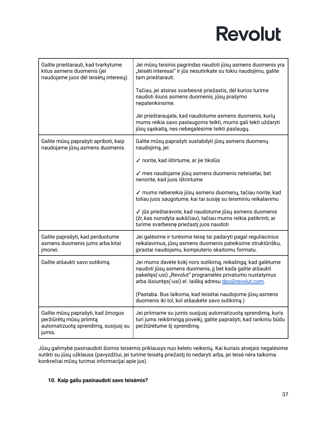| Galite prieštarauti, kad tvarkytume<br>kitus asmens duomenis (jei<br>naudojame juos dėl teisėtų interesų).     | Jei mūsų teisinis pagrindas naudoti jūsų asmens duomenis yra<br>"teisėti interesai" ir jūs nesutinkate su tokiu naudojimu, galite<br>tam prieštarauti.                                                                                            |
|----------------------------------------------------------------------------------------------------------------|---------------------------------------------------------------------------------------------------------------------------------------------------------------------------------------------------------------------------------------------------|
|                                                                                                                | Tačiau, jei atsiras svarbesnė priežastis, dėl kurios turime<br>naudoti šiuos asmens duomenis, jūsų prašymo<br>nepatenkinsime.                                                                                                                     |
|                                                                                                                | Jei prieštaraujate, kad naudotume asmens duomenis, kurių<br>mums reikia savo paslaugoms teikti, mums gali tekti uždaryti<br>jūsų sąskaitą, nes nebegalėsime teikti paslaugų.                                                                      |
| Galite mūsų paprašyti apriboti, kaip<br>naudojame jūsų asmens duomenis.                                        | Galite mūsų paprašyti sustabdyti jūsų asmens duomenų<br>naudojimą, jei:                                                                                                                                                                           |
|                                                                                                                | √ norite, kad ištirtume, ar jie tikslūs                                                                                                                                                                                                           |
|                                                                                                                | √ mes naudojame jūsų asmens duomenis neteisėtai, bet<br>nenorite, kad juos ištrintume                                                                                                                                                             |
|                                                                                                                | √ mums nebereikia jūsų asmens duomenų, tačiau norite, kad<br>toliau juos saugotume, kai tai susiję su teisminiu reikalavimu                                                                                                                       |
|                                                                                                                | √ jūs prieštaravote, kad naudotume jūsų asmens duomenis<br>(žr, kas nurodyta aukščiau), tačiau mums reikia patikrinti, ar<br>turime svarbesnę priežastį juos naudoti                                                                              |
| Galite paprašyti, kad perduotume<br>asmens duomenis jums arba kitai<br>jmonei.                                 | Jei galėsime ir turėsime teisę tai padaryti pagal reguliacinius<br>reikalavimus, jūsų asmens duomenis pateiksime struktūrišku,<br>įprastai naudojamu, kompiuterio skaitomu formatu.                                                               |
| Galite atšaukti savo sutikimą.                                                                                 | Jei mums davėte kokį nors sutikimą, reikalingą, kad galėtume<br>naudoti jūsų asmens duomenis, jį bet kada galite atšaukti<br>pakeitęs(-usi) "Revolut" programėlės privatumo nustatymus<br>arba išsiuntęs(-usi) el. laišką adresu dpo@revolut.com. |
|                                                                                                                | (Pastaba. Bus laikoma, kad teisėtai naudojome jūsų asmens<br>duomenis iki tol, kol atšaukėte savo sutikimą.)                                                                                                                                      |
| Galite mūsų paprašyti, kad žmogus<br>peržiūrėtų mūsų priimtą<br>automatizuotą sprendimą, susijusį su<br>jumis. | Jei priimame su jumis susijusį automatizuotą sprendimą, kuris<br>turi jums reikšmingą poveikį, galite paprašyti, kad rankiniu būdu<br>peržiūrėtume šį sprendimą.                                                                                  |

Jūsų galimybė pasinaudoti šiomis teisėmis priklausys nuo keleto veiksnių. Kai kuriais atvejais negalėsime sutikti su jūsų užklausa (pavyzdžiui, jei turime teisėtą priežastį to nedaryti arba, jei teisė nėra taikoma konkrečiai mūsų turimai informacijai apie jus).

#### <span id="page-36-0"></span>**10. Kaip galiu pasinaudoti savo teisėmis?**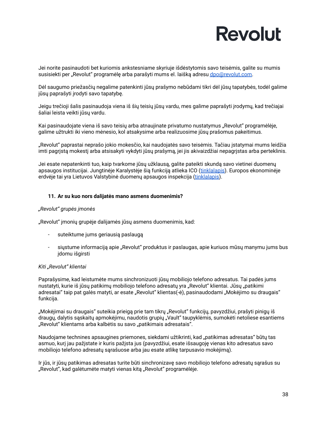Jei norite pasinaudoti bet kuriomis ankstesniame skyriuje išdėstytomis savo teisėmis, galite su mumis susisiekti per "Revolut" programėlę arba parašyti mums el. laišką adresu [dpo@revolut.com.](mailto:dpo@revolut.com)

Dėl saugumo priežasčių negalime patenkinti jūsų prašymo nebūdami tikri dėl jūsų tapatybės, todėl galime jūsų paprašyti įrodyti savo tapatybę.

Jeigu trečioji šalis pasinaudoja viena iš šių teisių jūsų vardu, mes galime paprašyti įrodymų, kad trečiajai šaliai leista veikti jūsų vardu.

Kai pasinaudojate viena iš savo teisių arba atnaujinate privatumo nustatymus "Revolut" programėlėje, galime užtrukti iki vieno mėnesio, kol atsakysime arba realizuosime jūsų prašomus pakeitimus.

"Revolut" paprastai neprašo jokio mokesčio, kai naudojatės savo teisėmis. Tačiau įstatymai mums leidžia imti pagrįstą mokestį arba atsisakyti vykdyti jūsų prašymą, jei jis akivaizdžiai nepagrįstas arba perteklinis.

Jei esate nepatenkinti tuo, kaip tvarkome jūsų užklausą, galite pateikti skundą savo vietinei duomenų apsaugos institucijai. Jungtinėje Karalystėje šią funkciją atlieka ICO ([tinklalapis\)](https://ico.org.uk/make-a-complaint/). Europos ekonominėje erdvėje tai yra Lietuvos Valstybinė duomenų apsaugos inspekcija [\(tinklalapis](https://vdai.lrv.lt)).

#### <span id="page-37-0"></span>**11. Ar su kuo nors dalijatės mano asmens duomenimis?**

#### *"Revolut" grupės įmonės*

"Revolut" įmonių grupėje dalijamės jūsų asmens duomenimis, kad:

- suteiktume jums geriausią paslaugą
- siųstume informaciją apie "Revolut" produktus ir paslaugas, apie kuriuos mūsų manymu jums bus įdomu išgirsti

#### *Kiti "Revolut" klientai*

Paprašysime, kad leistumėte mums sinchronizuoti jūsų mobiliojo telefono adresatus. Tai padės jums nustatyti, kurie iš jūsų patikimų mobiliojo telefono adresatų yra "Revolut" klientai. Jūsų "patikimi adresatai" taip pat galės matyti, ar esate "Revolut" klientas(-ė), pasinaudodami "Mokėjimo su draugais" funkcija.

"Mokėjimai su draugais" suteikia prieigą prie tam tikrų "Revolut" funkcijų, pavyzdžiui, prašyti pinigų iš draugų, dalytis sąskaitų apmokėjimu, naudotis grupių "Vault" taupyklėmis, sumokėti netoliese esantiems "Revolut" klientams arba kalbėtis su savo "patikimais adresatais".

Naudojame technines apsaugines priemones, siekdami užtikrinti, kad "patikimas adresatas" būtų tas asmuo, kurį jau pažįstate ir kuris pažįsta jus (pavyzdžiui, esate išsaugoję vienas kito adresatus savo mobiliojo telefono adresatų sąrašuose arba jau esate atlikę tarpusavio mokėjimą).

Ir jūs, ir jūsų patikimas adresatas turite būti sinchronizavę savo mobiliojo telefono adresatų sąrašus su "Revolut", kad galėtumėte matyti vienas kitą "Revolut" programėlėje.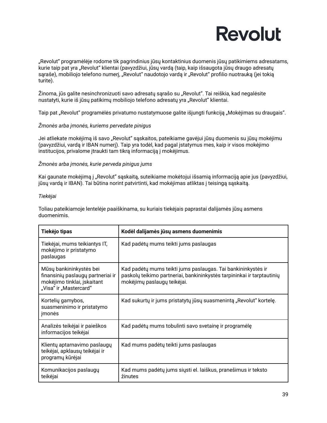

"Revolut" programėlėje rodome tik pagrindinius jūsų kontaktinius duomenis jūsų patikimiems adresatams, kurie taip pat yra "Revolut" klientai (pavyzdžiui, jūsų vardą (taip, kaip išsaugota jūsų draugo adresatų sąraše), mobiliojo telefono numerį, "Revolut" naudotojo vardą ir "Revolut" profilio nuotrauką (jei tokią turite).

Žinoma, jūs galite nesinchronizuoti savo adresatų sąrašo su "Revolut". Tai reiškia, kad negalėsite nustatyti, kurie iš jūsų patikimų mobiliojo telefono adresatų yra "Revolut" klientai.

Taip pat "Revolut" programėlės privatumo nustatymuose galite išjungti funkciją "Mokėjimas su draugais".

#### *Žmonės arba įmonės, kuriems pervedate pinigus*

Jei atliekate mokėjimą iš savo "Revolut" sąskaitos, pateikiame gavėjui jūsų duomenis su jūsų mokėjimu (pavyzdžiui, vardą ir IBAN numerį). Taip yra todėl, kad pagal įstatymus mes, kaip ir visos mokėjimo institucijos, privalome įtraukti tam tikrą informaciją į mokėjimus.

#### *Žmonės arba įmonės, kurie perveda pinigus jums*

Kai gaunate mokėjimą į "Revolut" sąskaitą, suteikiame mokėtojui išsamią informaciją apie jus (pavyzdžiui, jūsų vardą ir IBAN). Tai būtina norint patvirtinti, kad mokėjimas atliktas į teisingą sąskaitą.

#### *Tiekėjai*

Toliau pateikiamoje lentelėje paaiškinama, su kuriais tiekėjais paprastai dalijamės jūsų asmens duomenimis.

| Tiekėjo tipas                                                                                                         | Kodėl dalijamės jūsų asmens duomenimis                                                                                                                                |
|-----------------------------------------------------------------------------------------------------------------------|-----------------------------------------------------------------------------------------------------------------------------------------------------------------------|
| Tiekėjai, mums teikiantys IT,<br>mokėjimo ir pristatymo<br>paslaugas                                                  | Kad padėtų mums teikti jums paslaugas                                                                                                                                 |
| Mūsų bankininkystės bei<br>finansinių paslaugų partneriai ir<br>mokėjimo tinklai, įskaitant<br>"Visa" ir "Mastercard" | Kad padėtų mums teikti jums paslaugas. Tai bankininkystės ir<br>paskolų teikimo partneriai, bankininkystės tarpininkai ir tarptautinių<br>mokėjimų paslaugų teikėjai. |
| Kortelių gamybos,<br>suasmeninimo ir pristatymo<br>jmonės                                                             | Kad sukurtų ir jums pristatytų jūsų suasmenintą "Revolut" kortelę.                                                                                                    |
| Analizės teikėjai ir paieškos<br>informacijos teikėjai                                                                | Kad padėtų mums tobulinti savo svetainę ir programėlę                                                                                                                 |
| Klientų aptarnavimo paslaugų<br>teikėjai, apklausų teikėjai ir<br>programų kūrėjai                                    | Kad mums padėtų teikti jums paslaugas                                                                                                                                 |
| Komunikacijos paslaugų<br>teikėjai                                                                                    | Kad mums padėtų jums siųsti el. laiškus, pranešimus ir teksto<br>žinutes                                                                                              |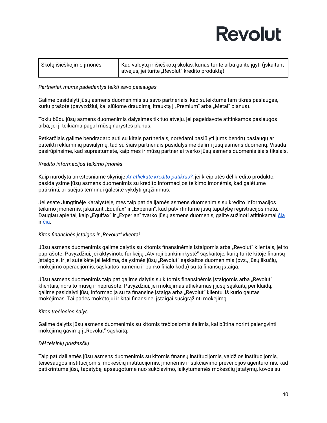| Skolų išieškojimo įmonės | Kad valdytų ir išieškotų skolas, kurias turite arba galite įgyti (įskaitant<br>atvejus, jei turite "Revolut" kredito produktą) |
|--------------------------|--------------------------------------------------------------------------------------------------------------------------------|
|                          |                                                                                                                                |

#### *Partneriai, mums padedantys teikti savo paslaugas*

Galime pasidalyti jūsų asmens duomenimis su savo partneriais, kad suteiktume tam tikras paslaugas, kurių prašote (pavyzdžiui, kai siūlome draudimą, įtrauktą į "Premium" arba "Metal" planus).

Tokiu būdu jūsų asmens duomenimis dalysimės tik tuo atveju, jei pageidavote atitinkamos paslaugos arba, jei ji teikiama pagal mūsų narystės planus.

Retkarčiais galime bendradarbiauti su kitais partneriais, norėdami pasiūlyti jums bendrų paslaugų ar pateikti reklaminių pasiūlymų, tad su šiais partneriais pasidalysime dalimi jūsų asmens duomenų. Visada pasirūpinsime, kad suprastumėte, kaip mes ir mūsų partneriai tvarko jūsų asmens duomenis šiais tikslais.

#### *Kredito informacijos teikimo įmonės*

Kaip nurodyta ankstesniame skyriuje *Ar atliekate kredito [patikras?](#page-33-0)*, jei kreipiatės dėl kredito produkto, pasidalysime jūsų asmens duomenimis su kredito informacijos teikimo įmonėmis, kad galėtume patikrinti, ar suėjus terminui galėsite vykdyti grąžinimus.

Jei esate Jungtinėje Karalystėje, mes taip pat dalijamės asmens duomenimis su kredito informacijos teikimo įmonėmis, įskaitant "Equifax" ir "Experian", kad patvirtintume jūsų tapatybę registracijos metu. Daugiau apie tai, kaip "Equifax" ir "Experian" tvarko jūsų asmens duomenis, galite sužinoti atitinkamai [čia](https://www.equifax.co.uk/crain/) ir [čia](https://www.experian.co.uk/legal/crain/).

#### *Kitos finansinės įstaigos ir "Revolut" klientai*

Jūsų asmens duomenimis galime dalytis su kitomis finansinėmis įstaigomis arba "Revolut" klientais, jei to paprašote. Pavyzdžiui, jei aktyvinote funkciją "Atviroji bankininkystė" sąskaitoje, kurią turite kitoje finansų įstaigoje, ir jei suteikėte jai leidimą, dalysimės jūsų "Revolut" sąskaitos duomenimis (pvz., jūsų likučių, mokėjimo operacijomis, sąskaitos numeriu ir banko filialo kodu) su ta finansų įstaiga.

Jūsų asmens duomenimis taip pat galime dalytis su kitomis finansinėmis įstaigomis arba "Revolut" klientais, nors to mūsų ir neprašote. Pavyzdžiui, jei mokėjimas atliekamas į jūsų sąskaitą per klaidą, galime pasidalyti jūsų informacija su ta finansine įstaiga arba "Revolut" klientu, iš kurio gautas mokėjimas. Tai padės mokėtojui ir kitai finansinei įstaigai susigrąžinti mokėjimą.

#### *Kitos trečiosios šalys*

Galime dalytis jūsų asmens duomenimis su kitomis trečiosiomis šalimis, kai būtina norint palengvinti mokėjimų gavimą į "Revolut" sąskaitą.

#### *Dėl teisinių priežasčių*

Taip pat dalijamės jūsų asmens duomenimis su kitomis finansų institucijomis, valdžios institucijomis, teisėsaugos institucijomis, mokesčių institucijomis, įmonėmis ir sukčiavimo prevencijos agentūromis, kad patikrintume jūsų tapatybę, apsaugotume nuo sukčiavimo, laikytumėmės mokesčių įstatymų, kovos su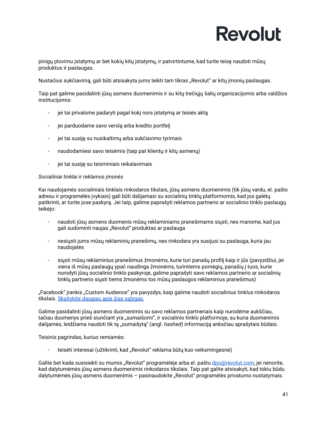pinigų plovimu įstatymų ar bet kokių kitų įstatymų, ir patvirtintume, kad turite teisę naudoti mūsų produktus ir paslaugas.

Nustačius sukčiavimą, gali būti atsisakyta jums teikti tam tikras "Revolut" ar kitų įmonių paslaugas.

Taip pat galime pasidalinti jūsų asmens duomenimis ir su kitų trečiųjų šalių organizacijomis arba valdžios institucijomis:

- jei tai privalome padaryti pagal kokį nors įstatymą ar teisės aktą
- jei parduodame savo verslą arba kredito portfelį
- jei tai susiję su nusikaltimų arba sukčiavimo tyrimais
- naudodamiesi savo teisėmis (taip pat klientų ir kitų asmenų)
- jei tai susiję su teisminiais reikalavimais

#### *Socialiniai tinklai ir reklamos įmonės*

Kai naudojamės socialiniais tinklais rinkodaros tikslais, jūsų asmens duomenimis (tik jūsų vardu, el. pašto adresu ir programėlės įvykiais) gali būti dalijamasi su socialinių tinklų platformomis, kad jos galėtų patikrinti, ar turite jose paskyrą. Jei taip, galime paprašyti reklamos partnerio ar socialinio tinklo paslaugų teikėjo:

- naudoti jūsų asmens duomenis mūsų reklaminiams pranešimams siųsti, nes manome, kad jus gali sudominti naujas "Revolut" produktas ar paslauga
- nesiųsti jums mūsų reklaminių pranešimų, nes rinkodara yra susijusi su paslauga, kuria jau naudojatės
- siųsti mūsų reklaminius pranešimus žmonėms, kurie turi panašų profilį kaip ir jūs (pavyzdžiui, jei viena iš mūsų paslaugų ypač naudinga žmonėms, turintiems pomėgių, panašių į tuos, kurie nurodyti jūsų socialinio tinklo paskyroje, galime paprašyti savo reklamos partnerio ar socialinių tinklų partnerio siųsti tiems žmonėms tos mūsų paslaugos reklaminius pranešimus)

"Facebook" įrankis "Custom Audience" yra pavyzdys, kaip galime naudoti socialinius tinklus rinkodaros tikslais. [Skaitykite](https://www.facebook.com/legal/terms/customaudience) daugiau apie šias sąlygas.

Galime pasidalinti jūsų asmens duomenimis su savo reklamos partneriais kaip nurodėme aukščiau, tačiau duomenys prieš siunčiant yra "sumaišomi", ir socialinio tinklo platformoje, su kuria duomenimis dalijamės, leidžiama naudoti tik tą "sumaišytą" (angl. *hashed*) informaciją anksčiau aprašytais būdais.

Teisinis pagrindas, kuriuo remiamės:

teisėti interesai (užtikrinti, kad "Revolut" reklama būtų kuo veiksmingesnė)

Galite bet kada susisiekti su mumis "Revolut" programėlėje arba el. paštu [dpo@revolut.com,](mailto:dpo@revolut.com) jei nenorite, kad dalytumėmės jūsų asmens duomenimis rinkodaros tikslais. Taip pat galite atsisakyti, kad tokiu būdu dalytumėmės jūsų asmens duomenimis - pasinaudokite "Revolut" programėlės privatumo nustatymais.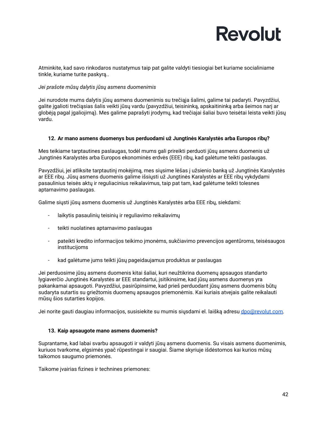Atminkite, kad savo rinkodaros nustatymus taip pat galite valdyti tiesiogiai bet kuriame socialiniame tinkle, kuriame turite paskyrą..

#### *Jei prašote mūsų dalytis jūsų asmens duomenimis*

Jei nurodote mums dalytis jūsų asmens duomenimis su trečiąja šalimi, galime tai padaryti. Pavyzdžiui, galite įgalioti trečiąsias šalis veikti jūsų vardu (pavyzdžiui, teisininką, apskaitininką arba šeimos narį ar globėją pagal įgaliojimą). Mes galime paprašyti įrodymų, kad trečiajai šaliai buvo teisėtai leista veikti jūsų vardu.

#### <span id="page-41-0"></span>**12. Ar mano asmens duomenys bus perduodami už Jungtinės Karalystės arba Europos ribų?**

Mes teikiame tarptautines paslaugas, todėl mums gali prireikti perduoti jūsų asmens duomenis už Jungtinės Karalystės arba Europos ekonominės erdvės (EEE) ribų, kad galėtume teikti paslaugas.

Pavyzdžiui, jei atliksite tarptautinį mokėjimą, mes siųsime lėšas į užsienio banką už Jungtinės Karalystės ar EEE ribų. Jūsų asmens duomenis galime išsiųsti už Jungtinės Karalystės ar EEE ribų vykdydami pasaulinius teisės aktų ir reguliacinius reikalavimus, taip pat tam, kad galėtume teikti tolesnes aptarnavimo paslaugas.

Galime siųsti jūsų asmens duomenis už Jungtinės Karalystės arba EEE ribų, siekdami:

- laikytis pasaulinių teisinių ir reguliavimo reikalavimų
- teikti nuolatines aptarnavimo paslaugas
- pateikti kredito informacijos teikimo įmonėms, sukčiavimo prevencijos agentūroms, teisėsaugos institucijoms
- kad galėtume jums teikti jūsų pageidaujamus produktus ar paslaugas

Jei perduosime jūsų asmens duomenis kitai šaliai, kuri neužtikrina duomenų apsaugos standarto lygiaverčio Jungtinės Karalystės ar EEE standartui, įsitikinsime, kad jūsų asmens duomenys yra pakankamai apsaugoti. Pavyzdžiui, pasirūpinsime, kad prieš perduodant jūsų asmens duomenis būtų sudaryta sutartis su griežtomis duomenų apsaugos priemonėmis. Kai kuriais atvejais galite reikalauti mūsų šios sutarties kopijos.

Jei norite gauti daugiau informacijos, susisiekite su mumis siųsdami el. laišką adresu [dpo@revolut.com.](mailto:dpo@revolut.com)

#### <span id="page-41-1"></span>**13. Kaip apsaugote mano asmens duomenis?**

Suprantame, kad labai svarbu apsaugoti ir valdyti jūsų asmens duomenis. Su visais asmens duomenimis, kuriuos tvarkome, elgsimės ypač rūpestingai ir saugiai. Šiame skyriuje išdėstomos kai kurios mūsų taikomos saugumo priemonės.

Taikome įvairias fizines ir technines priemones: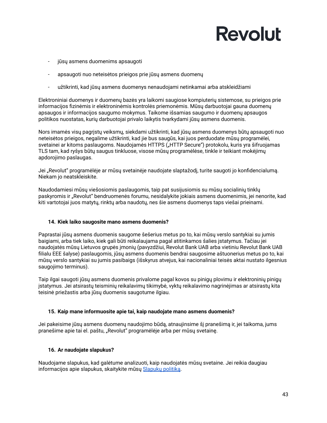- jūsų asmens duomenims apsaugoti
- apsaugoti nuo neteisėtos prieigos prie jūsų asmens duomenų
- užtikrinti, kad jūsų asmens duomenys nenaudojami netinkamai arba atskleidžiami

Elektroniniai duomenys ir duomenų bazės yra laikomi saugiose kompiuterių sistemose, su prieigos prie informacijos fizinėmis ir elektroninėmis kontrolės priemonėmis. Mūsų darbuotojai gauna duomenų apsaugos ir informacijos saugumo mokymus. Taikome išsamias saugumo ir duomenų apsaugos politikos nuostatas, kurių darbuotojai privalo laikytis tvarkydami jūsų asmens duomenis.

Nors imamės visų pagrįstų veiksmų, siekdami užtikrinti, kad jūsų asmens duomenys būtų apsaugoti nuo neteisėtos prieigos, negalime užtikrinti, kad jie bus saugūs, kai juos perduodate mūsų programėlei, svetainei ar kitoms paslaugoms. Naudojamės HTTPS ("HTTP Secure") protokolu, kuris yra šifruojamas TLS tam, kad ryšys būtų saugus tinkluose, visose mūsų programėlėse, tinkle ir teikiant mokėjimų apdorojimo paslaugas.

Jei "Revolut" programėlėje ar mūsų svetainėje naudojate slaptažodį, turite saugoti jo konfidencialumą. Niekam jo neatskleiskite.

Naudodamiesi mūsų viešosiomis paslaugomis, taip pat susijusiomis su mūsų socialinių tinklų paskyromis ir "Revolut" bendruomenės forumu, nesidalykite jokiais asmens duomenimis, jei nenorite, kad kiti vartotojai juos matytų, rinktų arba naudotų, nes šie asmens duomenys taps viešai prieinami.

#### <span id="page-42-0"></span>**14. Kiek laiko saugosite mano asmens duomenis?**

Paprastai jūsų asmens duomenis saugome šešerius metus po to, kai mūsų verslo santykiai su jumis baigiami, arba tiek laiko, kiek gali būti reikalaujama pagal atitinkamos šalies įstatymus. Tačiau jei naudojatės mūsų Lietuvos grupės įmonių (pavyzdžiui, Revolut Bank UAB arba vietiniu Revolut Bank UAB filialu EEE šalyse) paslaugomis, jūsų asmens duomenis bendrai saugosime aštuonerius metus po to, kai mūsų verslo santykiai su jumis pasibaigs (išskyrus atvejus, kai nacionaliniai teisės aktai nustato ilgesnius saugojimo terminus).

Taip ilgai saugoti jūsų asmens duomenis privalome pagal kovos su pinigų plovimu ir elektroninių pinigų įstatymus. Jei atsirastų teisminių reikalavimų tikimybė, vyktų reikalavimo nagrinėjimas ar atsirastų kita teisinė priežastis arba jūsų duomenis saugotume ilgiau.

#### <span id="page-42-1"></span>**15. Kaip mane informuosite apie tai, kaip naudojate mano asmens duomenis?**

Jei pakeisime jūsų asmens duomenų naudojimo būdą, atnaujinsime šį pranešimą ir, jei taikoma, jums pranešime apie tai el. paštu, "Revolut" programėlėje arba per mūsų svetainę.

#### <span id="page-42-2"></span>**16. Ar naudojate slapukus?**

Naudojame slapukus, kad galėtume analizuoti, kaip naudojatės mūsų svetaine. Jei reikia daugiau informacijos apie slapukus, skaitykite mūsų [Slapukų](https://www.revolut.com/legal/cookies-policy) politiką.